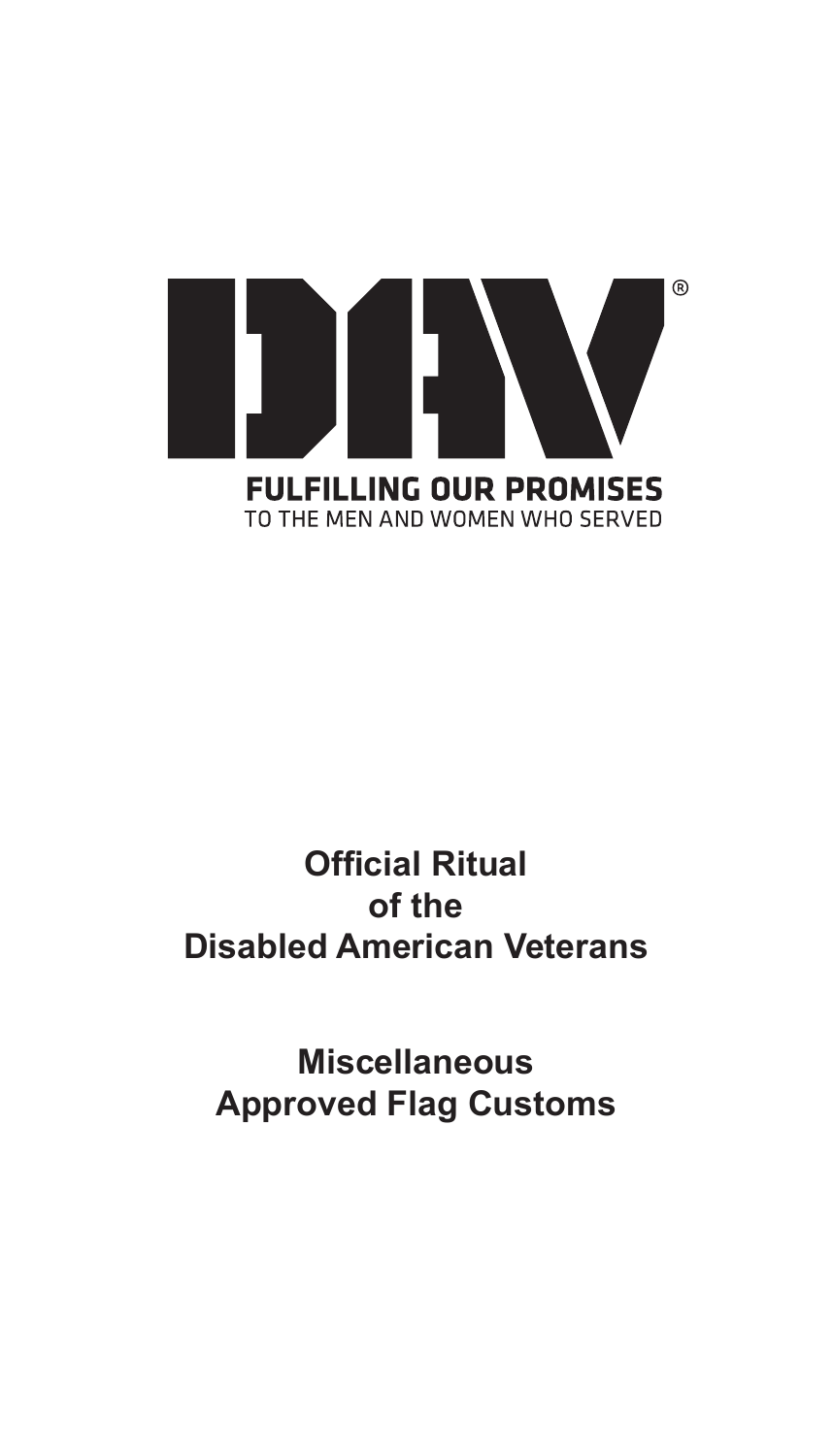

# **Official Ritual of the Disabled American Veterans**

**Miscellaneous Approved Flag Customs**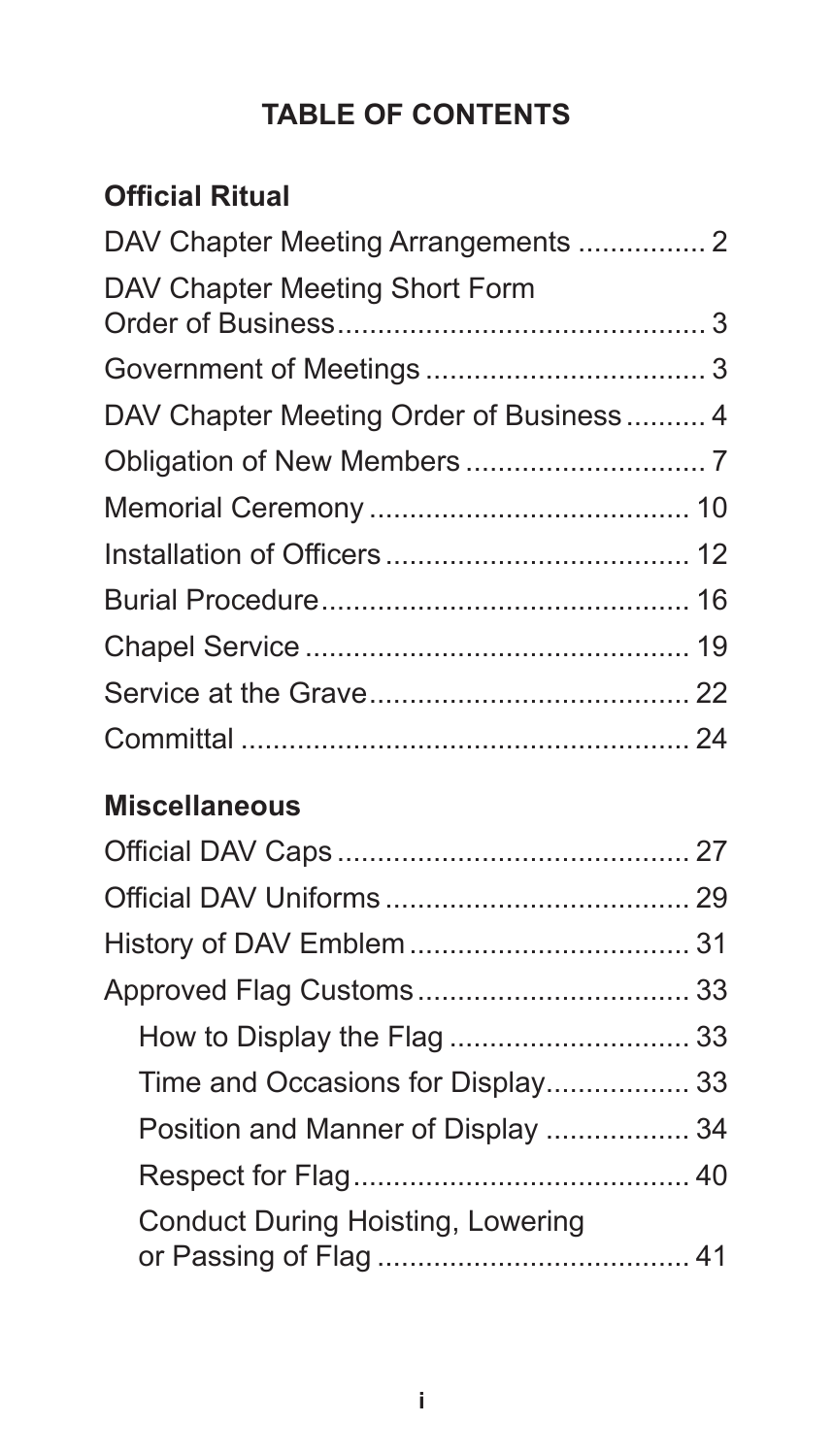# **TABLE OF CONTENTS**

# **[Official Ritual](#page-2-0)**

| DAV Chapter Meeting Arrangements  2     |  |
|-----------------------------------------|--|
| DAV Chapter Meeting Short Form          |  |
|                                         |  |
|                                         |  |
| DAV Chapter Meeting Order of Business 4 |  |
|                                         |  |
|                                         |  |
|                                         |  |
|                                         |  |
|                                         |  |
|                                         |  |
|                                         |  |

# **[Miscellaneous](#page-28-0)**

| Time and Occasions for Display 33        |  |
|------------------------------------------|--|
| Position and Manner of Display  34       |  |
|                                          |  |
| <b>Conduct During Hoisting, Lowering</b> |  |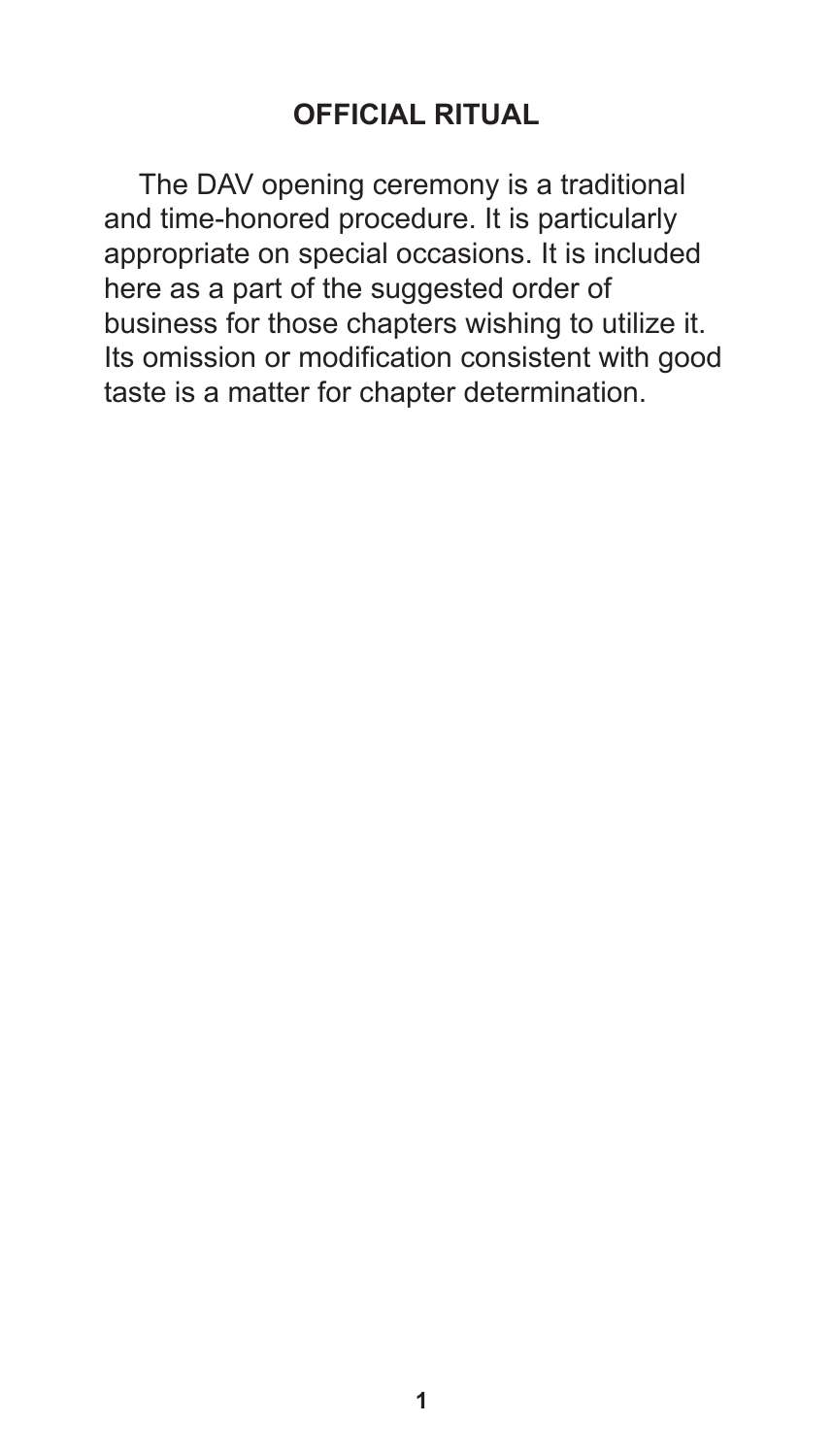# **OFFICIAL RITUAL**

<span id="page-2-0"></span>The DAV opening ceremony is a traditional and time-honored procedure. It is particularly appropriate on special occasions. It is included here as a part of the suggested order of business for those chapters wishing to utilize it. Its omission or modification consistent with good taste is a matter for chapter determination.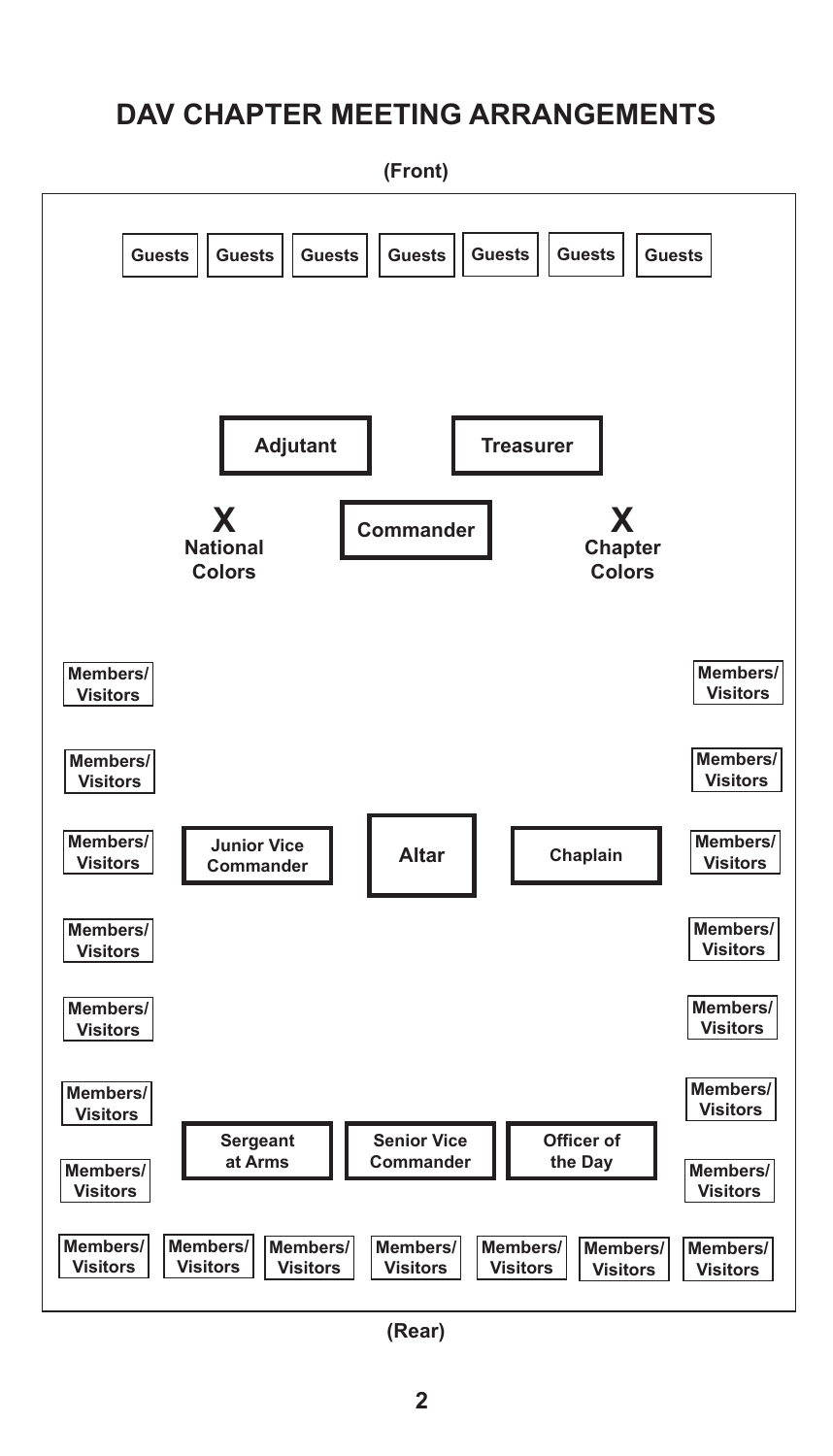# <span id="page-3-0"></span>**DAV CHAPTER MEETING ARRANGEMENTS**



**(Rear)**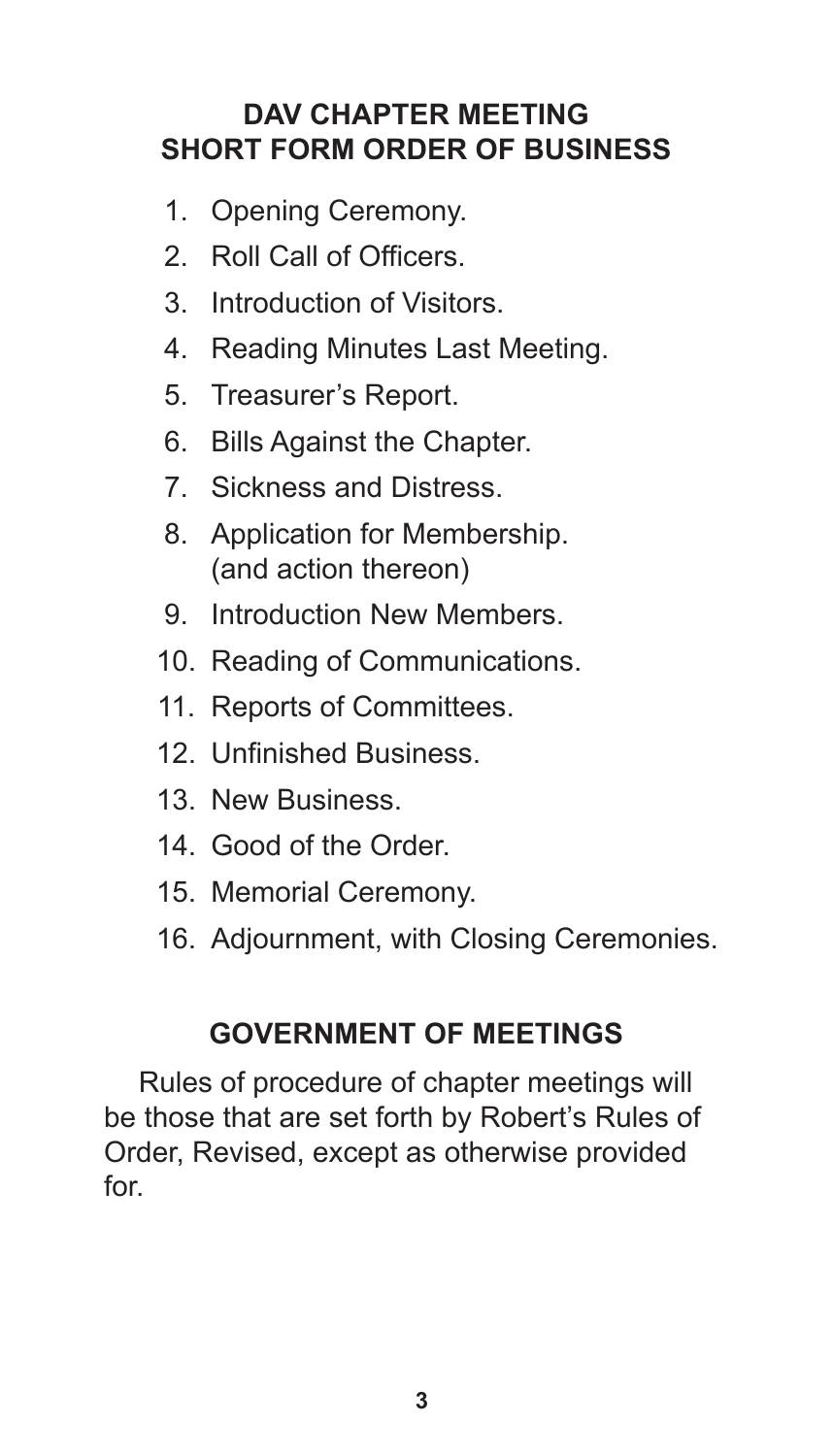# <span id="page-4-0"></span>**DAV CHAPTER MEETING SHORT FORM ORDER OF BUSINESS**

- 1. Opening Ceremony.
- 2. Roll Call of Officers.
- 3. Introduction of Visitors.
- 4. Reading Minutes Last Meeting.
- 5. Treasurer's Report.
- 6. Bills Against the Chapter.
- 7. Sickness and Distress.
- 8. Application for Membership. (and action thereon)
- 9. Introduction New Members.
- 10. Reading of Communications.
- 11. Reports of Committees.
- 12. Unfinished Business.
- 13. New Business.
- 14. Good of the Order.
- 15. Memorial Ceremony.
- 16. Adjournment, with Closing Ceremonies.

# **GOVERNMENT OF MEETINGS**

Rules of procedure of chapter meetings will be those that are set forth by Robert's Rules of Order, Revised, except as otherwise provided for.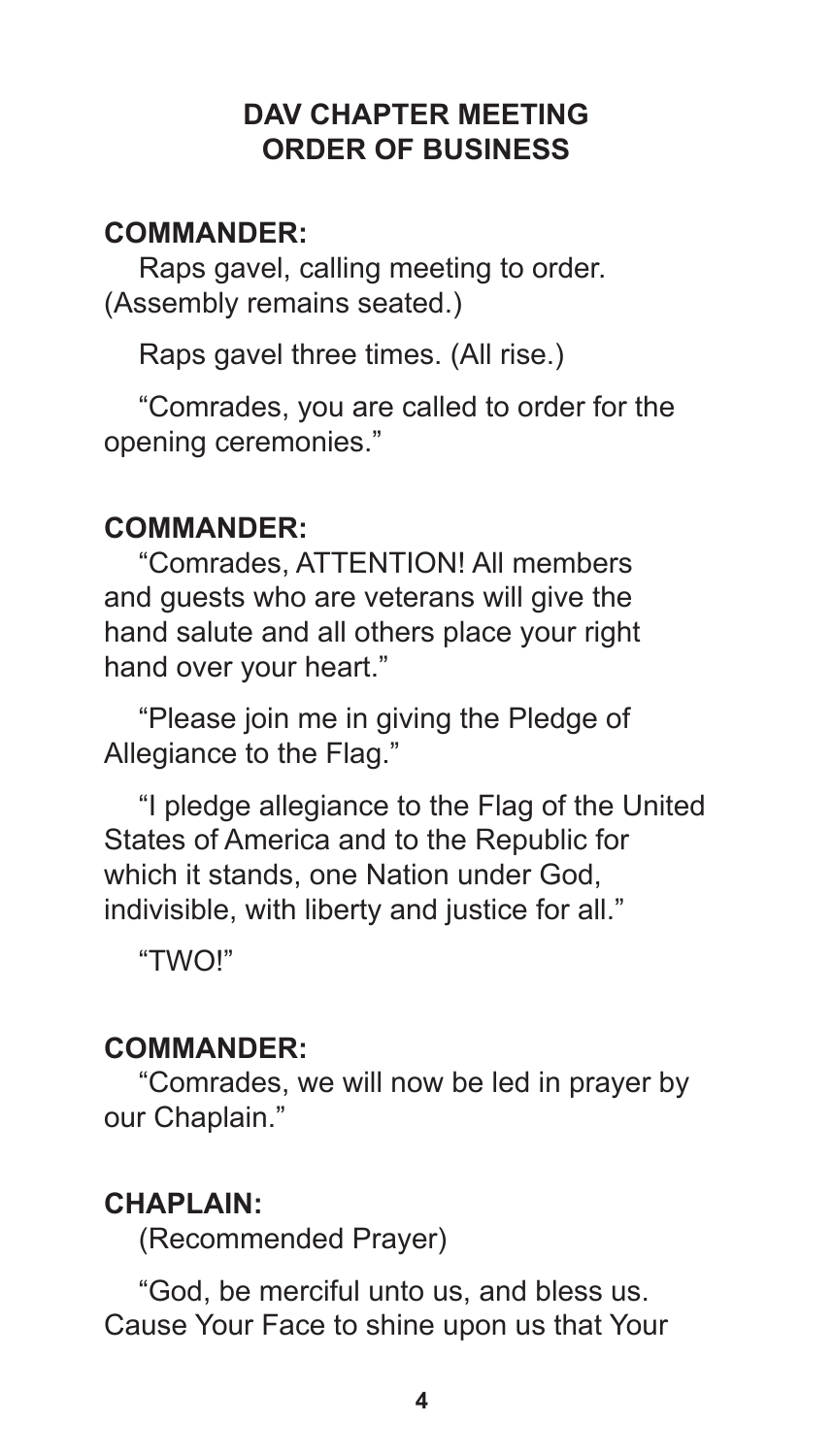### **DAV CHAPTER MEETING ORDER OF BUSINESS**

### <span id="page-5-0"></span>**COMMANDER:**

Raps gavel, calling meeting to order. (Assembly remains seated.)

Raps gavel three times. (All rise.)

"Comrades, you are called to order for the opening ceremonies."

### **COMMANDER:**

"Comrades, ATTENTION! All members and guests who are veterans will give the hand salute and all others place your right hand over your heart."

"Please join me in giving the Pledge of Allegiance to the Flag."

"I pledge allegiance to the Flag of the United States of America and to the Republic for which it stands, one Nation under God. indivisible, with liberty and justice for all."

"TWO!"

### **COMMANDER:**

"Comrades, we will now be led in prayer by our Chaplain."

### **CHAPLAIN:**

(Recommended Prayer)

"God, be merciful unto us, and bless us. Cause Your Face to shine upon us that Your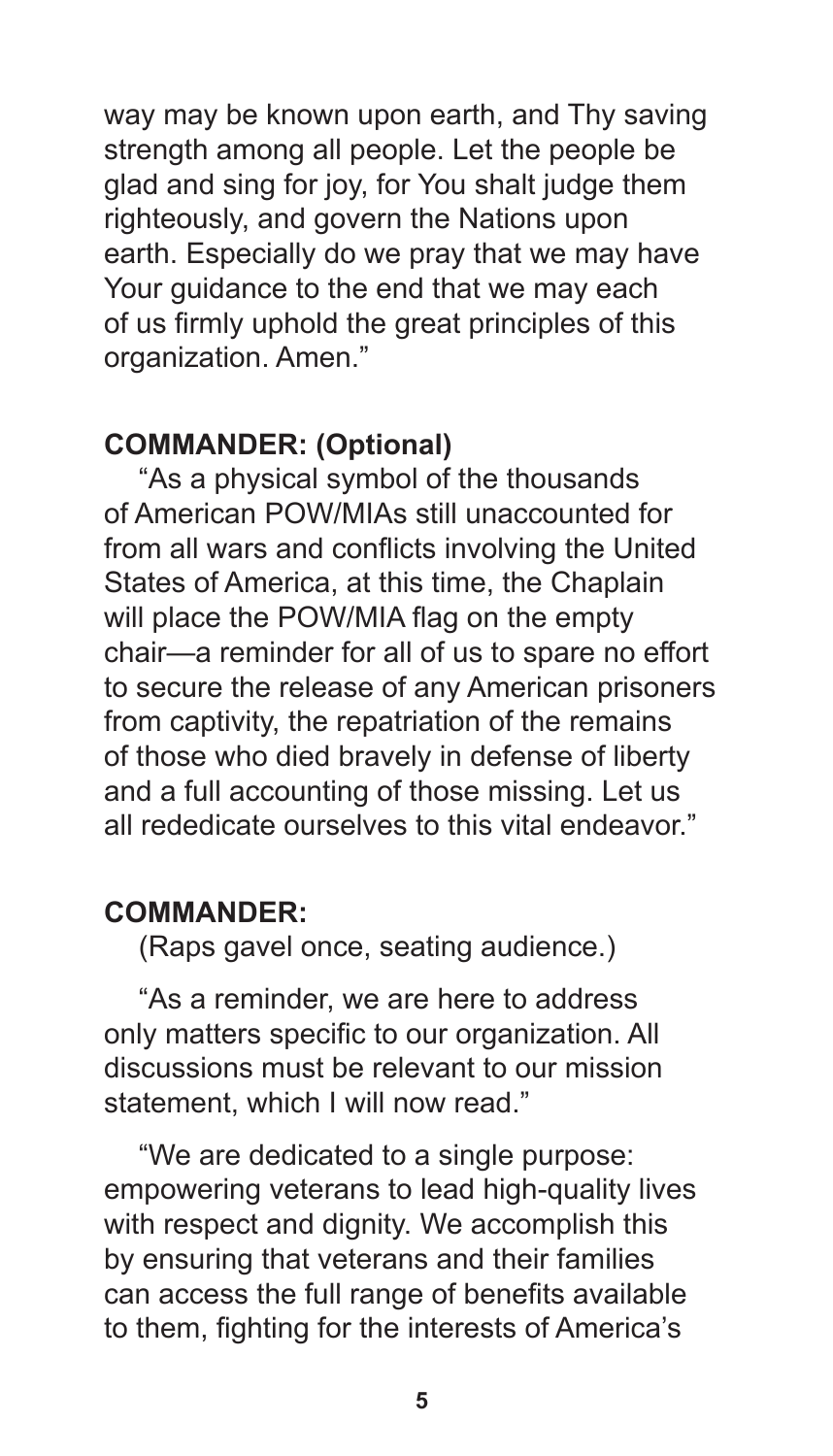way may be known upon earth, and Thy saving strength among all people. Let the people be glad and sing for joy, for You shalt judge them righteously, and govern the Nations upon earth. Especially do we pray that we may have Your guidance to the end that we may each of us firmly uphold the great principles of this organization. Amen."

### **COMMANDER: (Optional)**

"As a physical symbol of the thousands of American POW/MIAs still unaccounted for from all wars and conflicts involving the United States of America, at this time, the Chaplain will place the POW/MIA flag on the empty chair—a reminder for all of us to spare no effort to secure the release of any American prisoners from captivity, the repatriation of the remains of those who died bravely in defense of liberty and a full accounting of those missing. Let us all rededicate ourselves to this vital endeavor."

#### **COMMANDER:**

(Raps gavel once, seating audience.)

"As a reminder, we are here to address only matters specific to our organization. All discussions must be relevant to our mission statement, which I will now read."

"We are dedicated to a single purpose: empowering veterans to lead high-quality lives with respect and dignity. We accomplish this by ensuring that veterans and their families can access the full range of benefits available to them, fighting for the interests of America's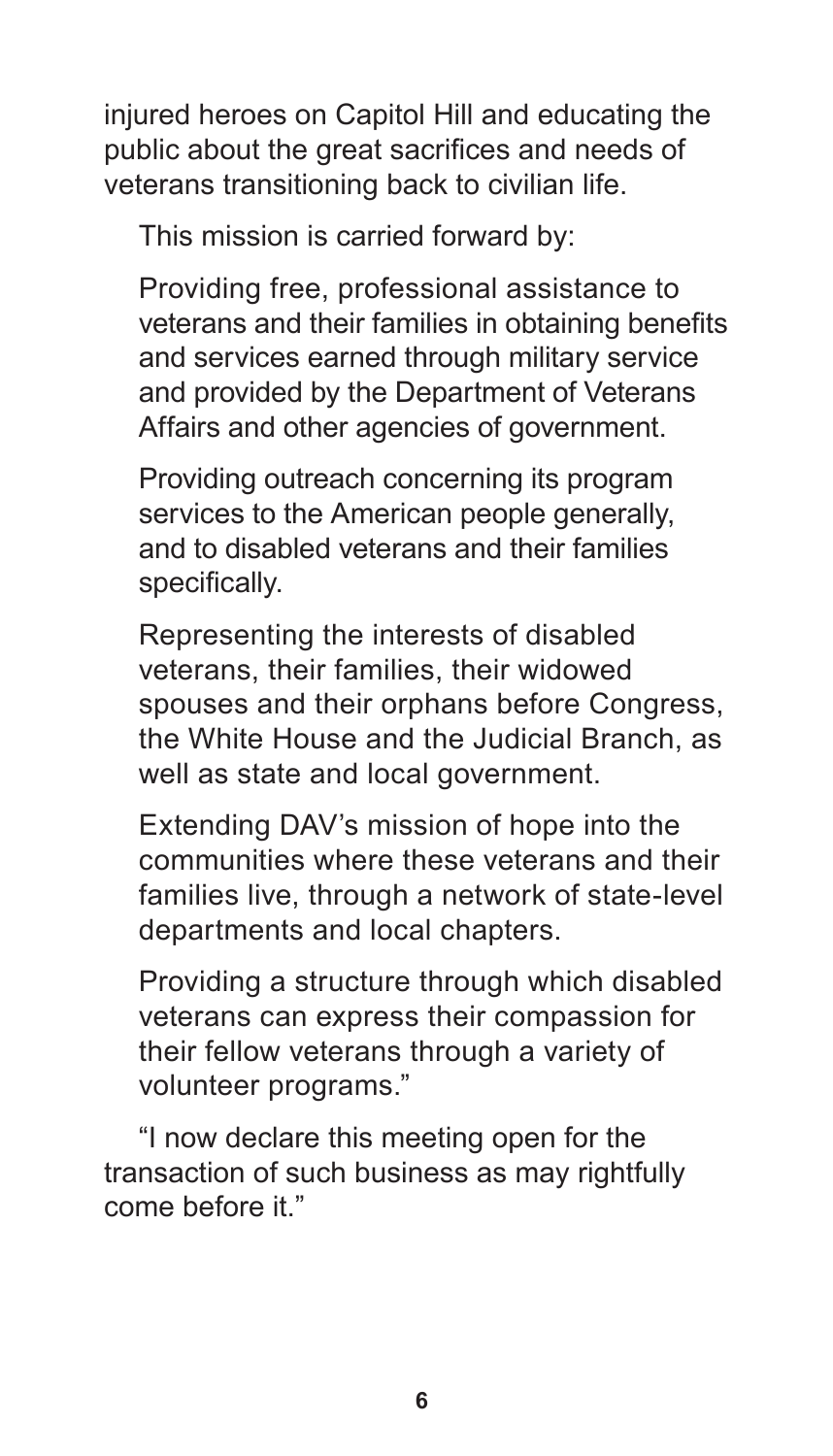injured heroes on Capitol Hill and educating the public about the great sacrifices and needs of veterans transitioning back to civilian life.

This mission is carried forward by:

Providing free, professional assistance to veterans and their families in obtaining benefits and services earned through military service and provided by the Department of Veterans Affairs and other agencies of government.

Providing outreach concerning its program services to the American people generally, and to disabled veterans and their families specifically.

Representing the interests of disabled veterans, their families, their widowed spouses and their orphans before Congress, the White House and the Judicial Branch, as well as state and local government.

Extending DAV's mission of hope into the communities where these veterans and their families live, through a network of state-level departments and local chapters.

Providing a structure through which disabled veterans can express their compassion for their fellow veterans through a variety of volunteer programs."

"I now declare this meeting open for the transaction of such business as may rightfully come before it."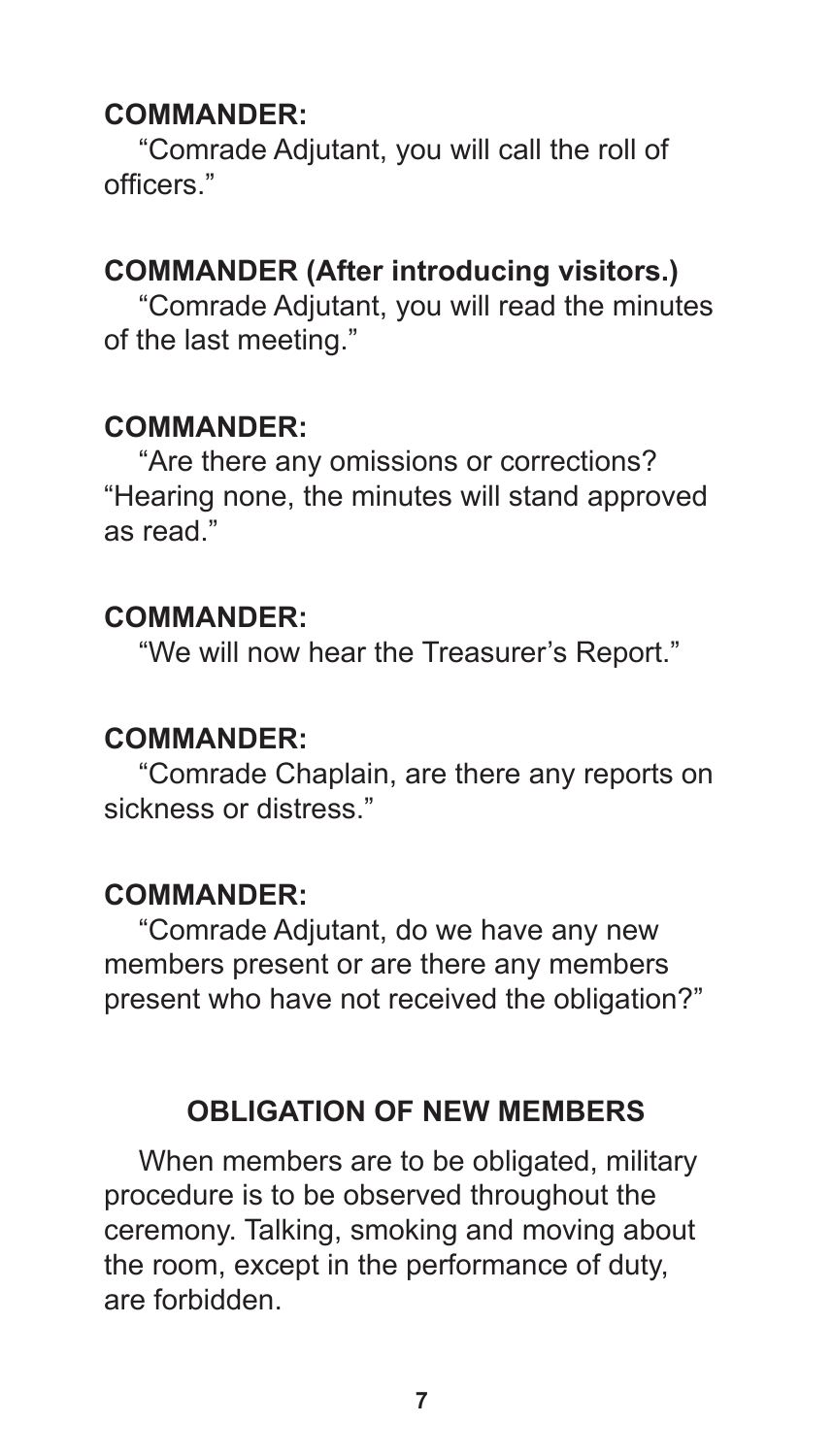### <span id="page-8-0"></span>**COMMANDER:**

"Comrade Adjutant, you will call the roll of officers."

### **COMMANDER (After introducing visitors.)**

"Comrade Adjutant, you will read the minutes of the last meeting."

#### **COMMANDER:**

"Are there any omissions or corrections? "Hearing none, the minutes will stand approved as read."

#### **COMMANDER:**

"We will now hear the Treasurer's Report."

#### **COMMANDER:**

"Comrade Chaplain, are there any reports on sickness or distress."

#### **COMMANDER:**

"Comrade Adjutant, do we have any new members present or are there any members present who have not received the obligation?"

#### **OBLIGATION OF NEW MEMBERS**

When members are to be obligated, military procedure is to be observed throughout the ceremony. Talking, smoking and moving about the room, except in the performance of duty, are forbidden.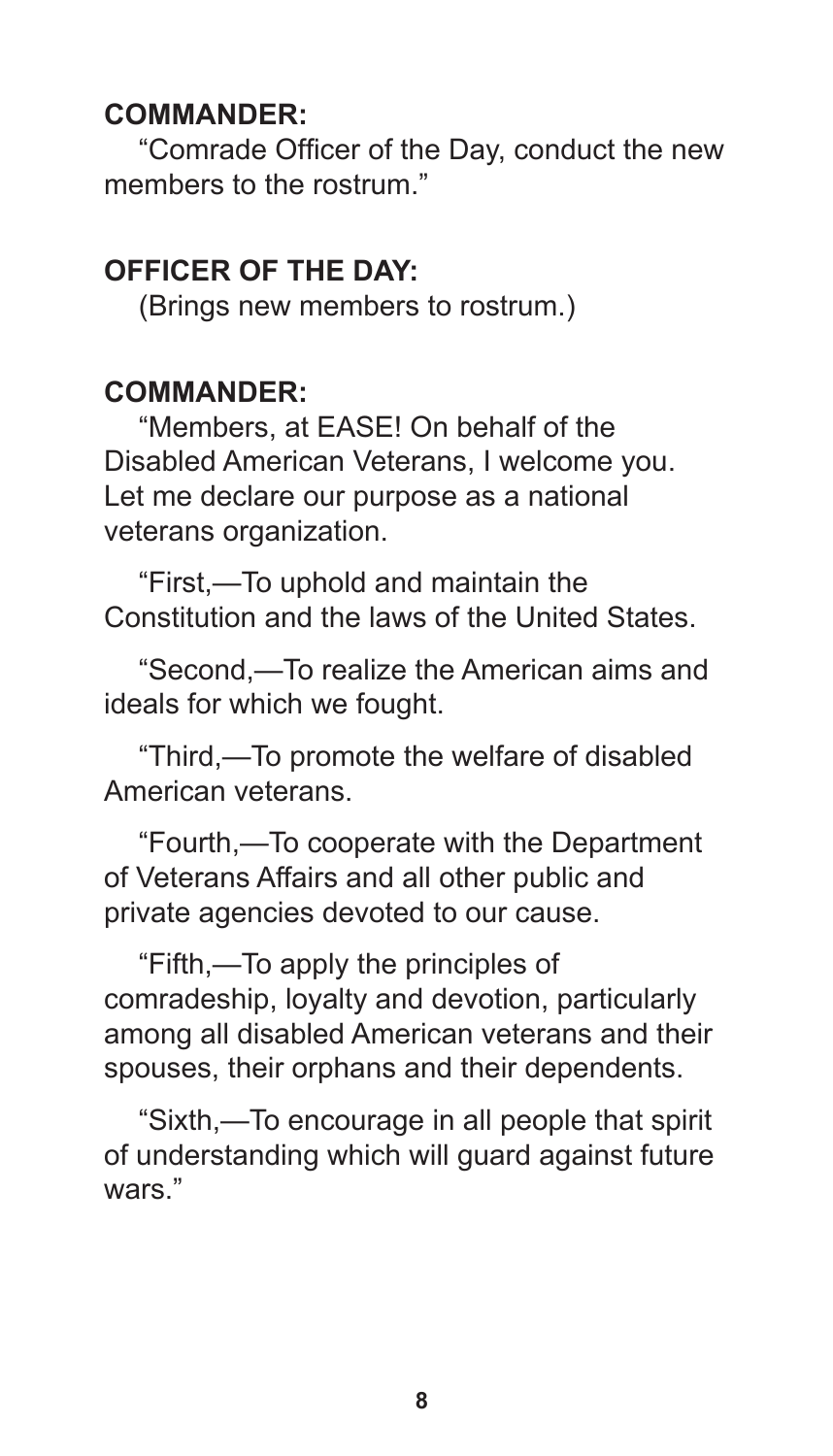### **COMMANDER:**

"Comrade Officer of the Day, conduct the new members to the rostrum."

#### **OFFICER OF THE DAY:**

(Brings new members to rostrum.)

#### **COMMANDER:**

"Members, at EASE! On behalf of the Disabled American Veterans, I welcome you. Let me declare our purpose as a national veterans organization.

"First,—To uphold and maintain the Constitution and the laws of the United States.

"Second,—To realize the American aims and ideals for which we fought.

"Third,—To promote the welfare of disabled American veterans.

"Fourth,—To cooperate with the Department of Veterans Affairs and all other public and private agencies devoted to our cause.

"Fifth,—To apply the principles of comradeship, loyalty and devotion, particularly among all disabled American veterans and their spouses, their orphans and their dependents.

"Sixth,—To encourage in all people that spirit of understanding which will guard against future wars."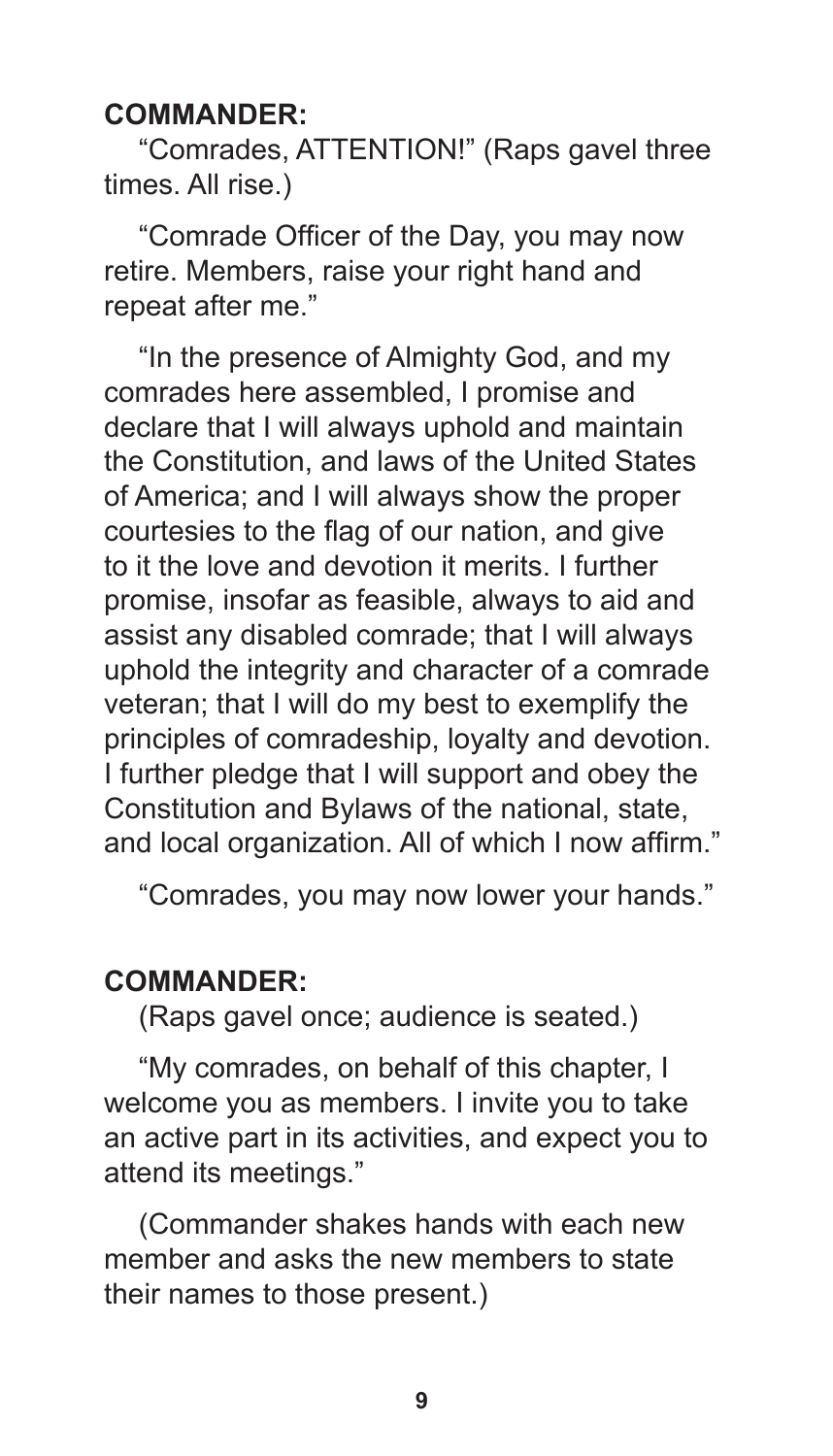#### **COMMANDER:**

"Comrades, ATTENTION!" (Raps gavel three times. All rise.)

"Comrade Officer of the Day, you may now retire. Members, raise your right hand and repeat after me."

"In the presence of Almighty God, and my comrades here assembled, I promise and declare that I will always uphold and maintain the Constitution, and laws of the United States of America; and I will always show the proper courtesies to the flag of our nation, and give to it the love and devotion it merits. I further promise, insofar as feasible, always to aid and assist any disabled comrade; that I will always uphold the integrity and character of a comrade veteran; that I will do my best to exemplify the principles of comradeship, loyalty and devotion. I further pledge that I will support and obey the Constitution and Bylaws of the national, state, and local organization. All of which I now affirm."

"Comrades, you may now lower your hands."

#### **COMMANDER:**

(Raps gavel once; audience is seated.)

"My comrades, on behalf of this chapter, I welcome you as members. I invite you to take an active part in its activities, and expect you to attend its meetings."

(Commander shakes hands with each new member and asks the new members to state their names to those present.)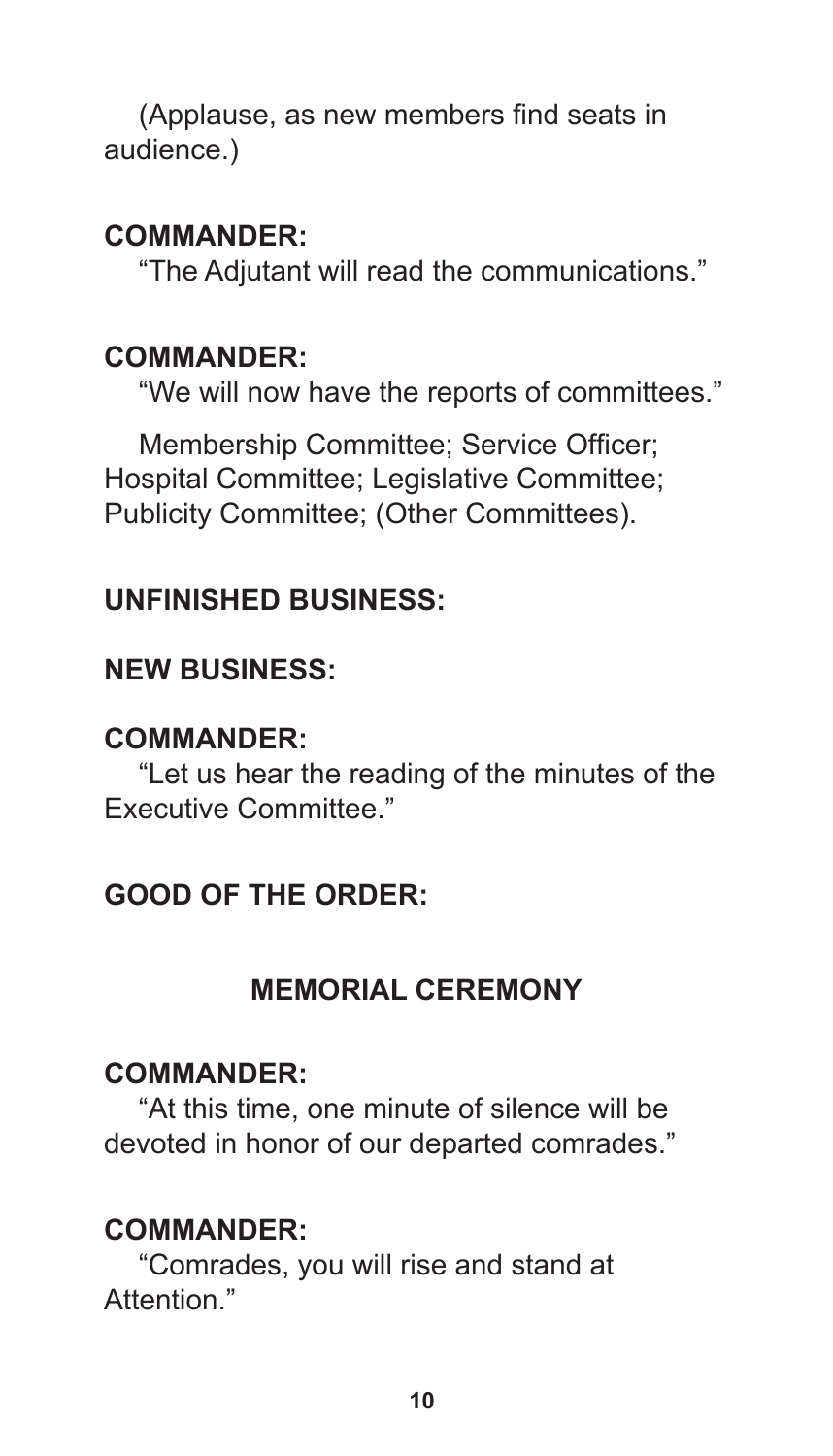<span id="page-11-0"></span>(Applause, as new members find seats in audience.)

#### **COMMANDER:**

"The Adjutant will read the communications."

#### **COMMANDER:**

"We will now have the reports of committees."

Membership Committee; Service Officer; Hospital Committee; Legislative Committee; Publicity Committee; (Other Committees).

### **UNFINISHED BUSINESS:**

#### **NEW BUSINESS:**

#### **COMMANDER:**

"Let us hear the reading of the minutes of the Executive Committee."

### **GOOD OF THE ORDER:**

### **MEMORIAL CEREMONY**

#### **COMMANDER:**

"At this time, one minute of silence will be devoted in honor of our departed comrades."

#### **COMMANDER:**

"Comrades, you will rise and stand at Attention<sup>"</sup>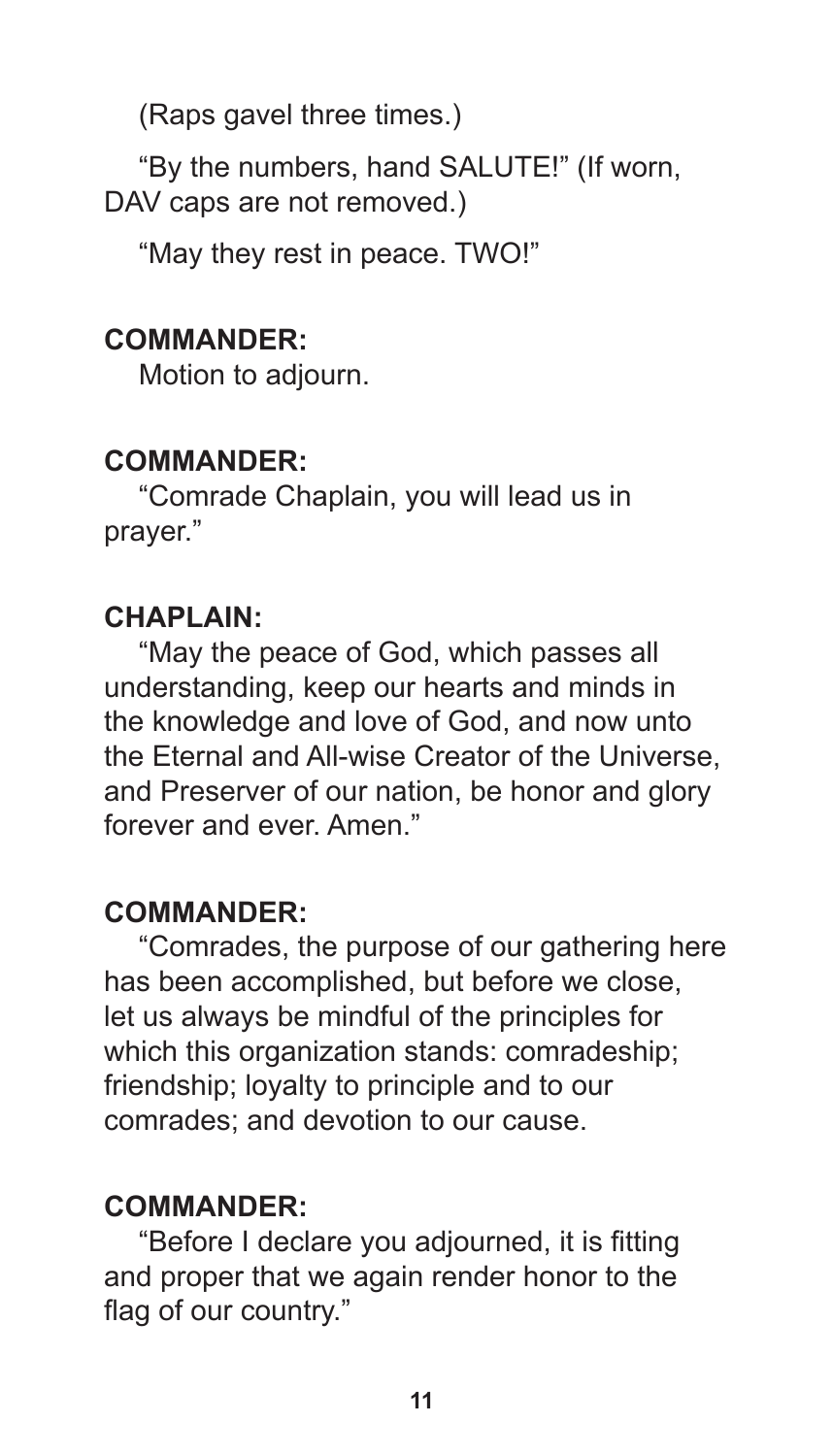(Raps gavel three times.)

"By the numbers, hand SALUTE!" (If worn, DAV caps are not removed.)

"May they rest in peace. TWO!"

### **COMMANDER:**

Motion to adjourn.

# **COMMANDER:**

"Comrade Chaplain, you will lead us in prayer."

# **CHAPLAIN:**

"May the peace of God, which passes all understanding, keep our hearts and minds in the knowledge and love of God, and now unto the Eternal and All-wise Creator of the Universe, and Preserver of our nation, be honor and glory forever and ever. Amen."

### **COMMANDER:**

"Comrades, the purpose of our gathering here has been accomplished, but before we close, let us always be mindful of the principles for which this organization stands: comradeship; friendship; loyalty to principle and to our comrades; and devotion to our cause.

### **COMMANDER:**

"Before I declare you adjourned, it is fitting and proper that we again render honor to the flag of our country."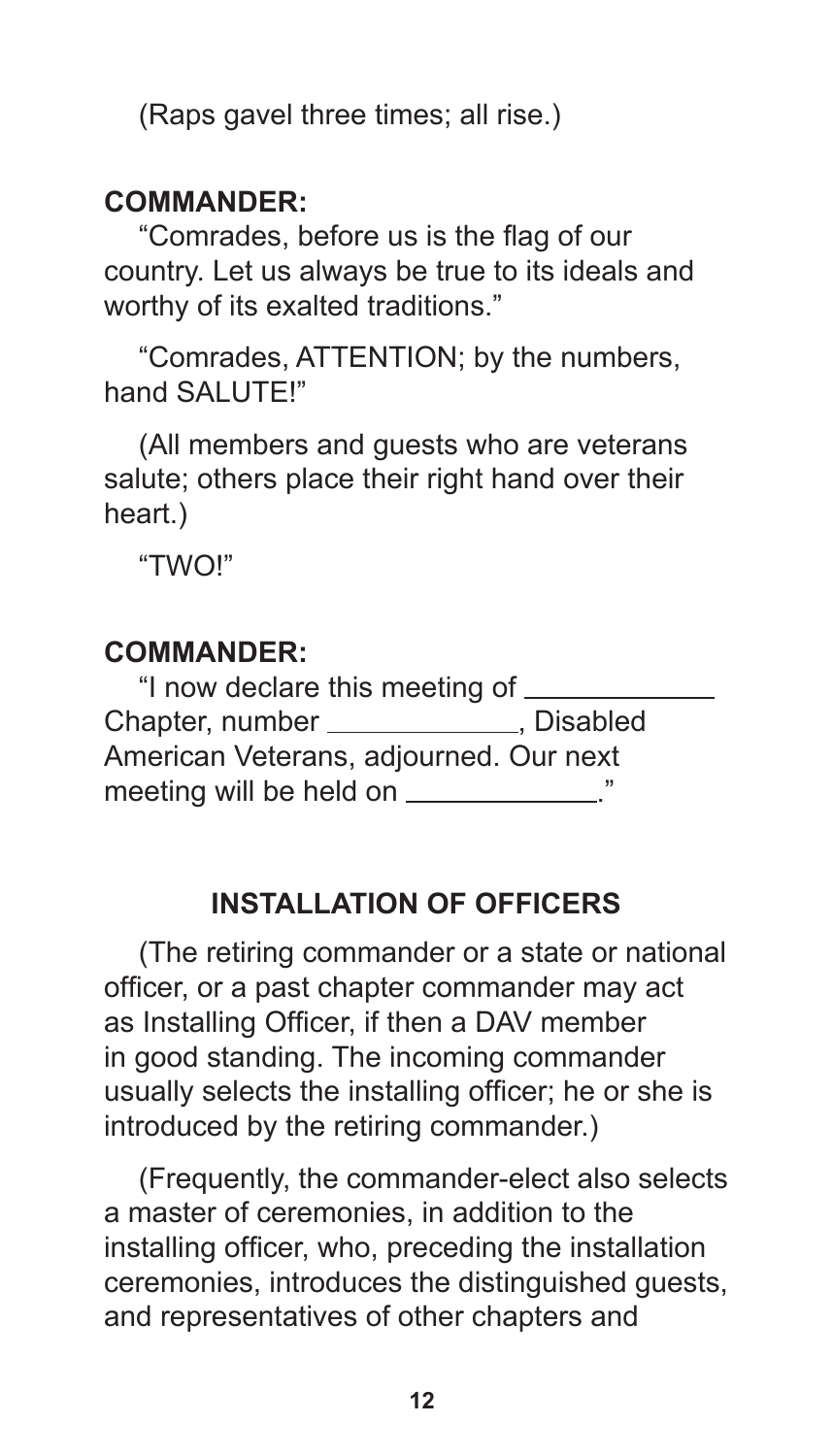<span id="page-13-0"></span>(Raps gavel three times; all rise.)

### **COMMANDER:**

"Comrades, before us is the flag of our country. Let us always be true to its ideals and worthy of its exalted traditions."

"Comrades, ATTENTION; by the numbers, hand SALUTE!"

(All members and guests who are veterans salute; others place their right hand over their heart.)

"TWO!"

### **COMMANDER:**

| "I now declare this meeting of         |          |  |  |
|----------------------------------------|----------|--|--|
| Chapter, number __________             | Disabled |  |  |
| American Veterans, adjourned. Our next |          |  |  |
| meeting will be held on _              | ,,       |  |  |

# **INSTALLATION OF OFFICERS**

(The retiring commander or a state or national officer, or a past chapter commander may act as Installing Officer, if then a DAV member in good standing. The incoming commander usually selects the installing officer; he or she is introduced by the retiring commander.)

(Frequently, the commander-elect also selects a master of ceremonies, in addition to the installing officer, who, preceding the installation ceremonies, introduces the distinguished guests, and representatives of other chapters and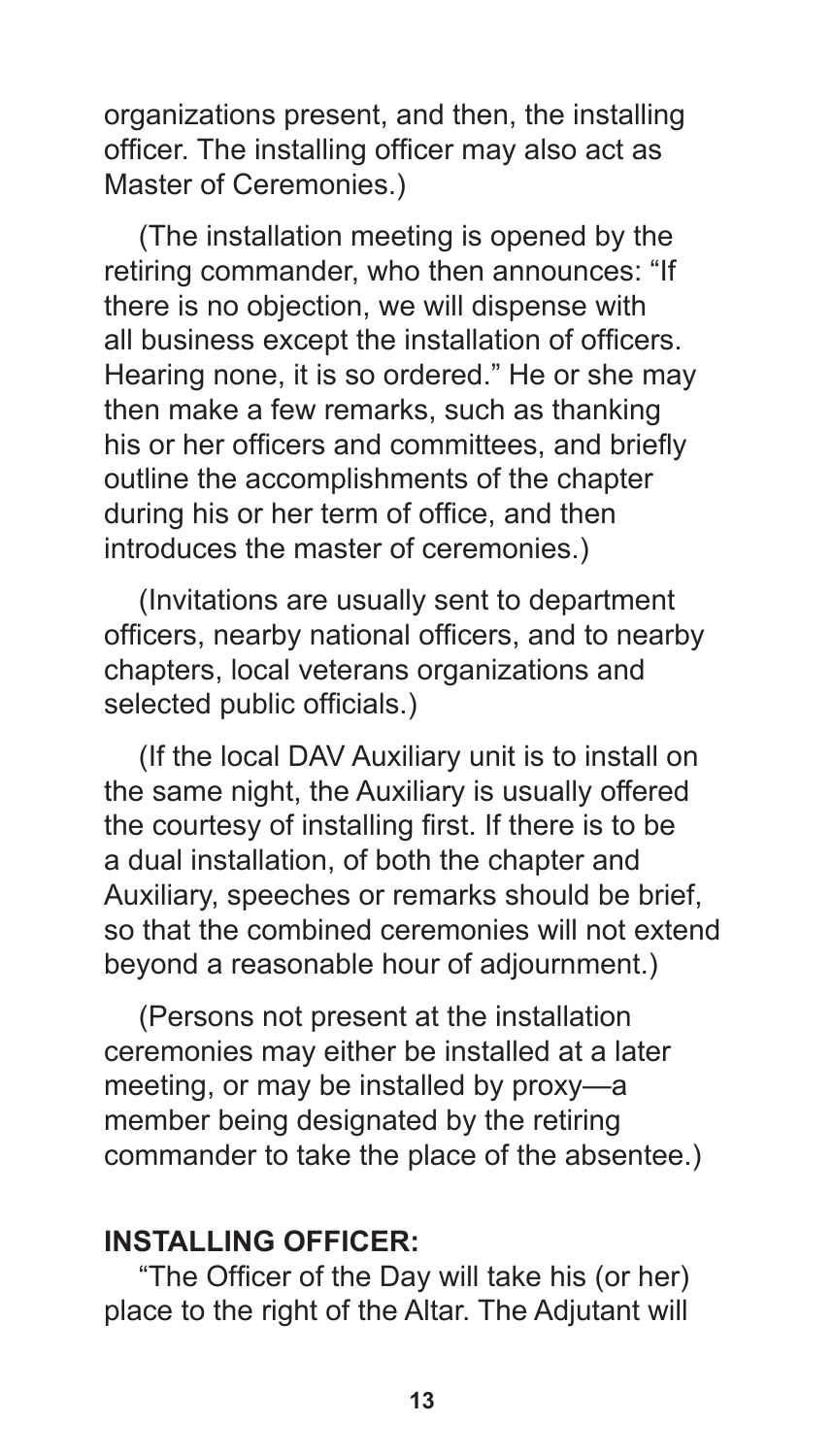organizations present, and then, the installing officer. The installing officer may also act as Master of Ceremonies.)

(The installation meeting is opened by the retiring commander, who then announces: "If there is no objection, we will dispense with all business except the installation of officers. Hearing none, it is so ordered." He or she may then make a few remarks, such as thanking his or her officers and committees, and briefly outline the accomplishments of the chapter during his or her term of office, and then introduces the master of ceremonies.)

(Invitations are usually sent to department officers, nearby national officers, and to nearby chapters, local veterans organizations and selected public officials.)

(If the local DAV Auxiliary unit is to install on the same night, the Auxiliary is usually offered the courtesy of installing first. If there is to be a dual installation, of both the chapter and Auxiliary, speeches or remarks should be brief, so that the combined ceremonies will not extend beyond a reasonable hour of adjournment.)

(Persons not present at the installation ceremonies may either be installed at a later meeting, or may be installed by proxy—a member being designated by the retiring commander to take the place of the absentee.)

#### **INSTALLING OFFICER:**

"The Officer of the Day will take his (or her) place to the right of the Altar. The Adjutant will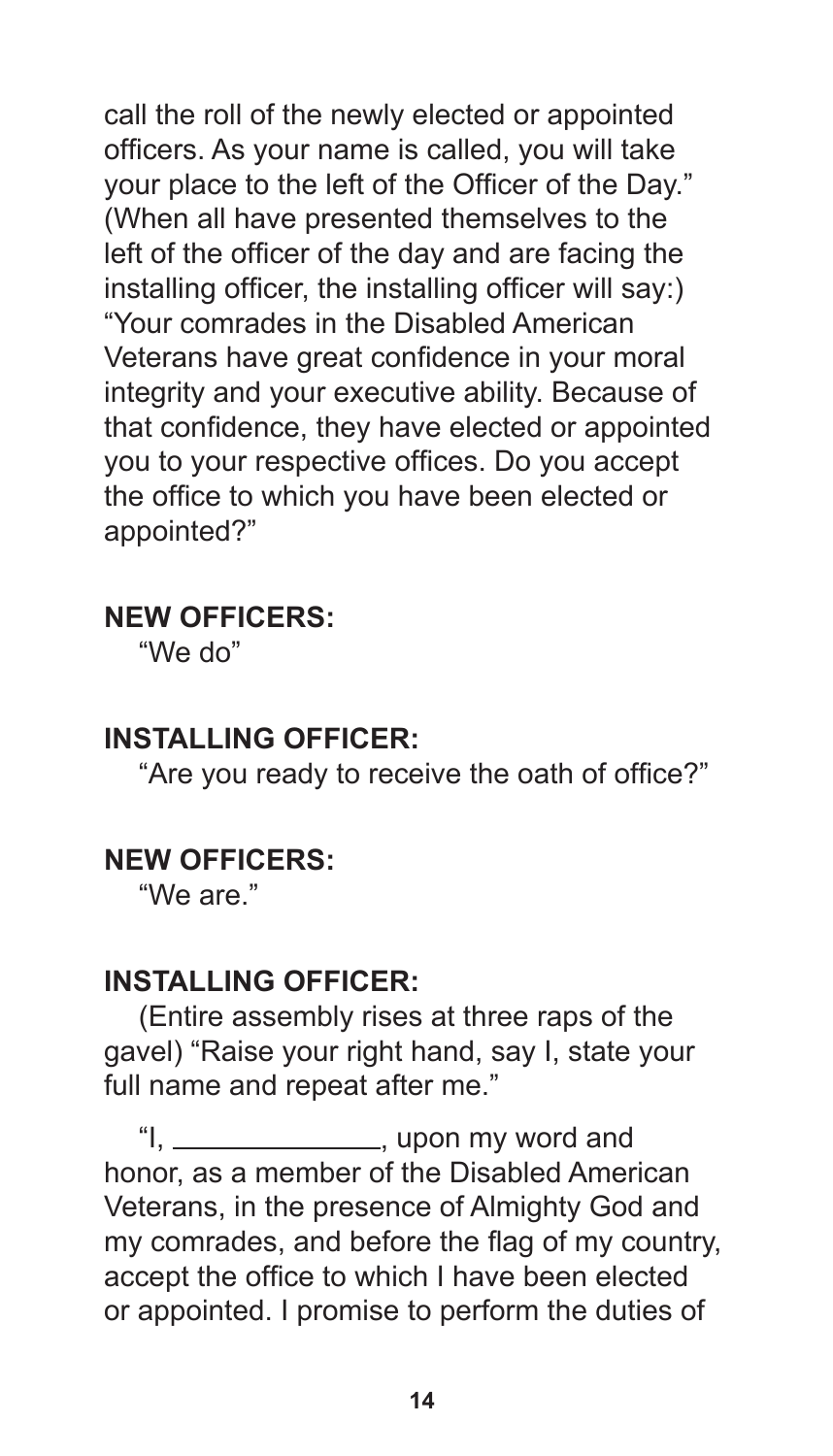call the roll of the newly elected or appointed officers. As your name is called, you will take your place to the left of the Officer of the Day." (When all have presented themselves to the left of the officer of the day and are facing the installing officer, the installing officer will say:) "Your comrades in the Disabled American Veterans have great confidence in your moral integrity and your executive ability. Because of that confidence, they have elected or appointed you to your respective offices. Do you accept the office to which you have been elected or appointed?"

### **NEW OFFICERS:**

"We do"

### **INSTALLING OFFICER:**

"Are you ready to receive the oath of office?"

### **NEW OFFICERS:**

"We are."

### **INSTALLING OFFICER:**

(Entire assembly rises at three raps of the gavel) "Raise your right hand, say I, state your full name and repeat after me."

"I. \_\_\_\_\_\_\_\_\_\_\_\_\_\_\_\_\_, upon my word and honor, as a member of the Disabled American Veterans, in the presence of Almighty God and my comrades, and before the flag of my country, accept the office to which I have been elected or appointed. I promise to perform the duties of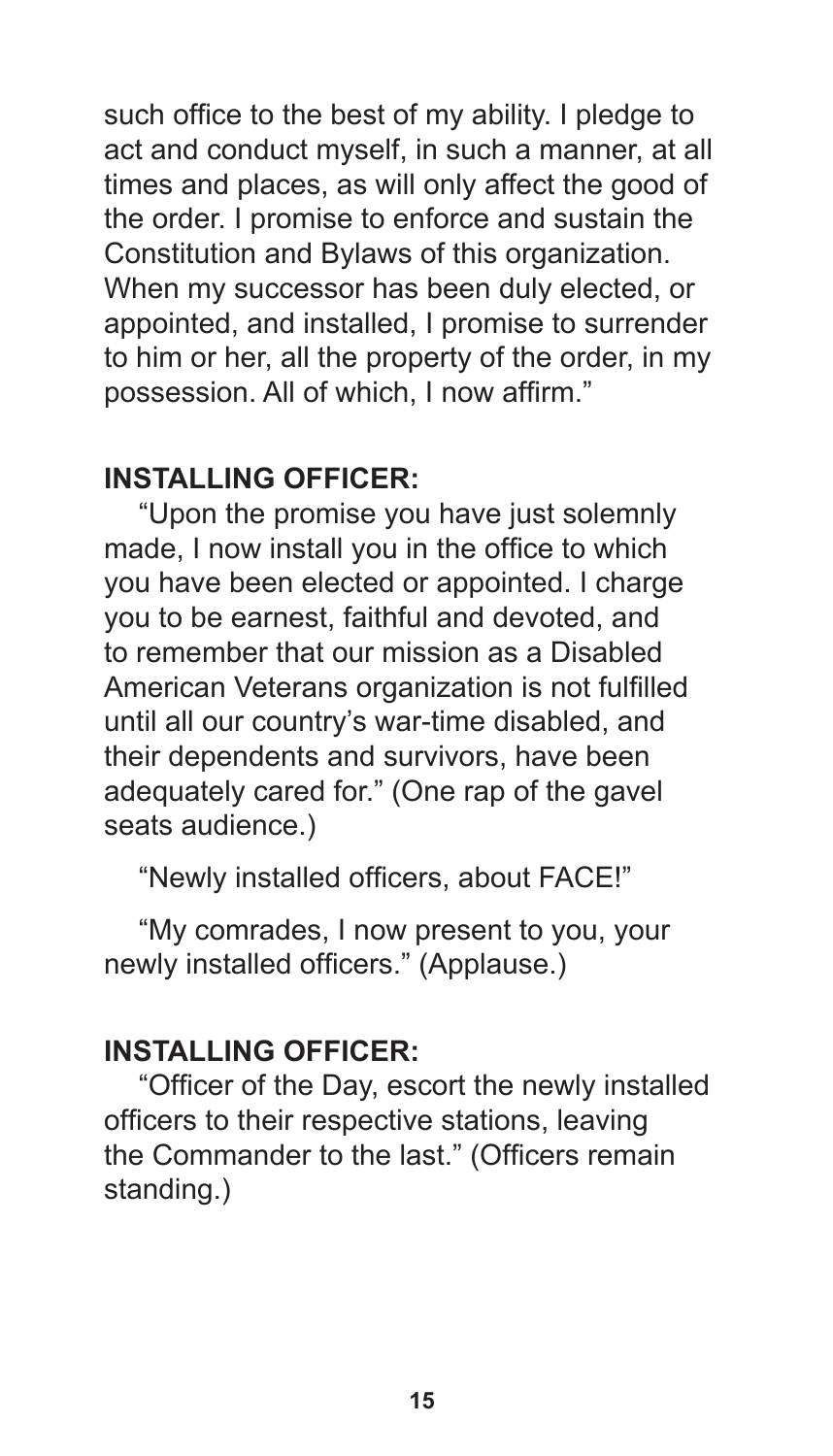such office to the best of my ability. I pledge to act and conduct myself, in such a manner, at all times and places, as will only affect the good of the order. I promise to enforce and sustain the Constitution and Bylaws of this organization. When my successor has been duly elected, or appointed, and installed, I promise to surrender to him or her, all the property of the order, in my possession. All of which, I now affirm."

### **INSTALLING OFFICER:**

"Upon the promise you have just solemnly made, I now install you in the office to which you have been elected or appointed. I charge you to be earnest, faithful and devoted, and to remember that our mission as a Disabled American Veterans organization is not fulfilled until all our country's war-time disabled, and their dependents and survivors, have been adequately cared for." (One rap of the gavel seats audience.)

"Newly installed officers, about FACE!"

"My comrades, I now present to you, your newly installed officers." (Applause.)

# **INSTALLING OFFICER:**

"Officer of the Day, escort the newly installed officers to their respective stations, leaving the Commander to the last." (Officers remain standing.)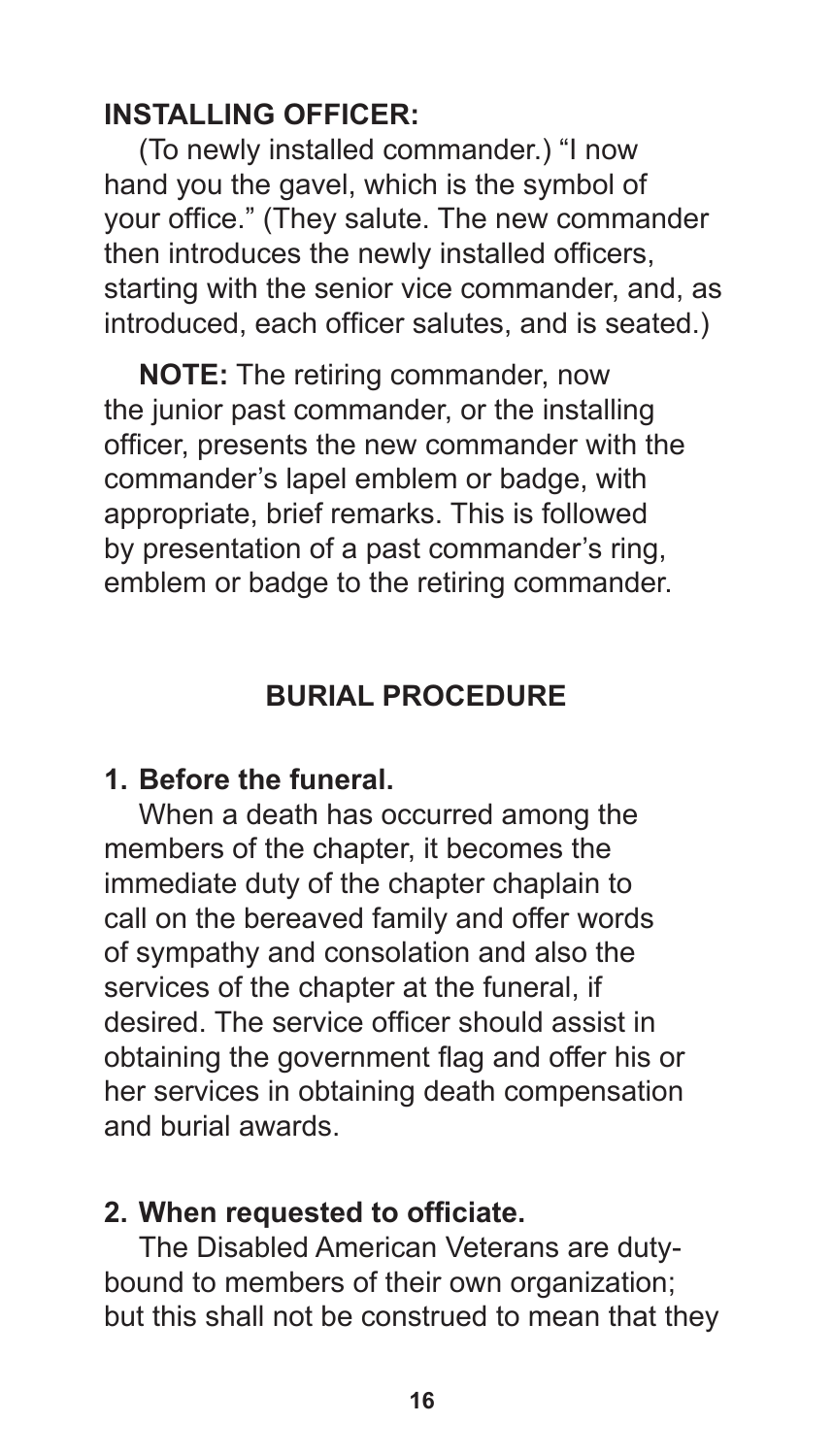# <span id="page-17-0"></span>**INSTALLING OFFICER:**

(To newly installed commander.) "I now hand you the gavel, which is the symbol of your office." (They salute. The new commander then introduces the newly installed officers, starting with the senior vice commander, and, as introduced, each officer salutes, and is seated.)

**NOTE:** The retiring commander, now the junior past commander, or the installing officer, presents the new commander with the commander's lapel emblem or badge, with appropriate, brief remarks. This is followed by presentation of a past commander's ring, emblem or badge to the retiring commander.

### **BURIAL PROCEDURE**

#### **1. Before the funeral.**

When a death has occurred among the members of the chapter, it becomes the immediate duty of the chapter chaplain to call on the bereaved family and offer words of sympathy and consolation and also the services of the chapter at the funeral, if desired. The service officer should assist in obtaining the government flag and offer his or her services in obtaining death compensation and burial awards.

#### **2. When requested to officiate.**

The Disabled American Veterans are dutybound to members of their own organization; but this shall not be construed to mean that they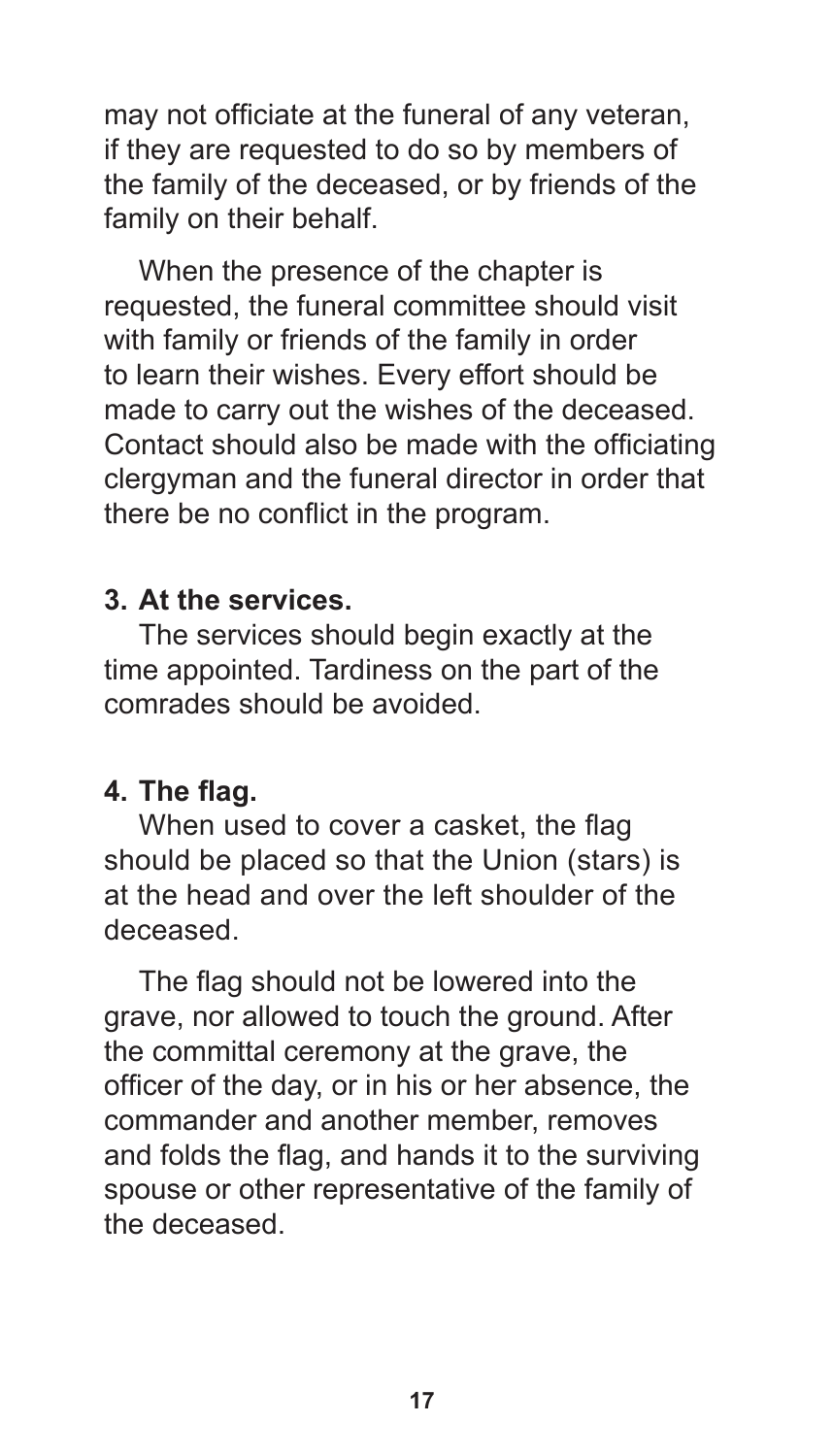may not officiate at the funeral of any veteran, if they are requested to do so by members of the family of the deceased, or by friends of the family on their behalf.

When the presence of the chapter is requested, the funeral committee should visit with family or friends of the family in order to learn their wishes. Every effort should be made to carry out the wishes of the deceased. Contact should also be made with the officiating clergyman and the funeral director in order that there be no conflict in the program.

#### **3. At the services.**

The services should begin exactly at the time appointed. Tardiness on the part of the comrades should be avoided.

#### **4. The flag.**

When used to cover a casket, the flag should be placed so that the Union (stars) is at the head and over the left shoulder of the deceased.

The flag should not be lowered into the grave, nor allowed to touch the ground. After the committal ceremony at the grave, the officer of the day, or in his or her absence, the commander and another member, removes and folds the flag, and hands it to the surviving spouse or other representative of the family of the deceased.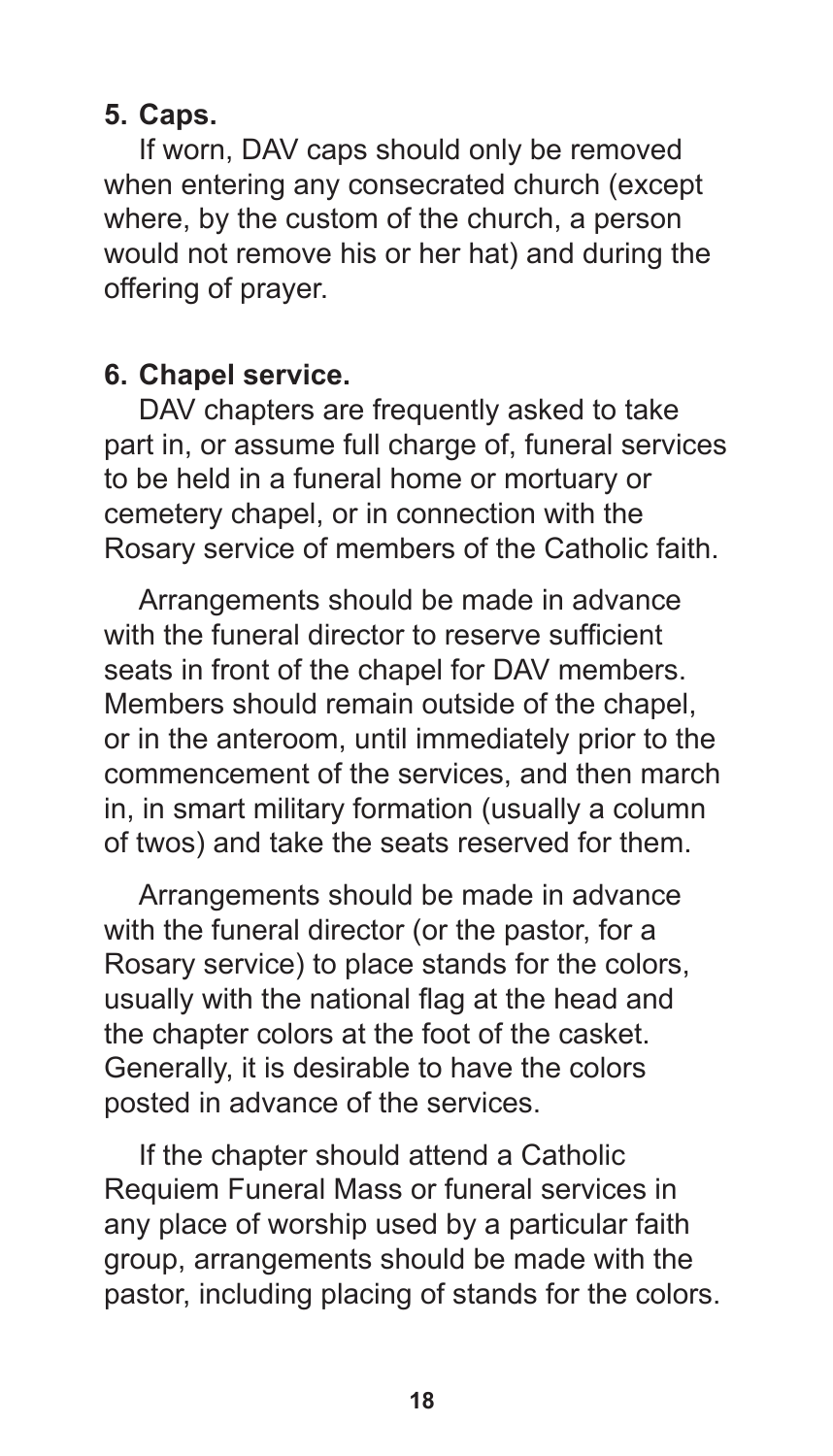### **5. Caps.**

If worn, DAV caps should only be removed when entering any consecrated church (except where, by the custom of the church, a person would not remove his or her hat) and during the offering of prayer.

# **6. Chapel service.**

DAV chapters are frequently asked to take part in, or assume full charge of, funeral services to be held in a funeral home or mortuary or cemetery chapel, or in connection with the Rosary service of members of the Catholic faith.

Arrangements should be made in advance with the funeral director to reserve sufficient seats in front of the chapel for DAV members. Members should remain outside of the chapel, or in the anteroom, until immediately prior to the commencement of the services, and then march in, in smart military formation (usually a column of twos) and take the seats reserved for them.

Arrangements should be made in advance with the funeral director (or the pastor, for a Rosary service) to place stands for the colors, usually with the national flag at the head and the chapter colors at the foot of the casket. Generally, it is desirable to have the colors posted in advance of the services.

If the chapter should attend a Catholic Requiem Funeral Mass or funeral services in any place of worship used by a particular faith group, arrangements should be made with the pastor, including placing of stands for the colors.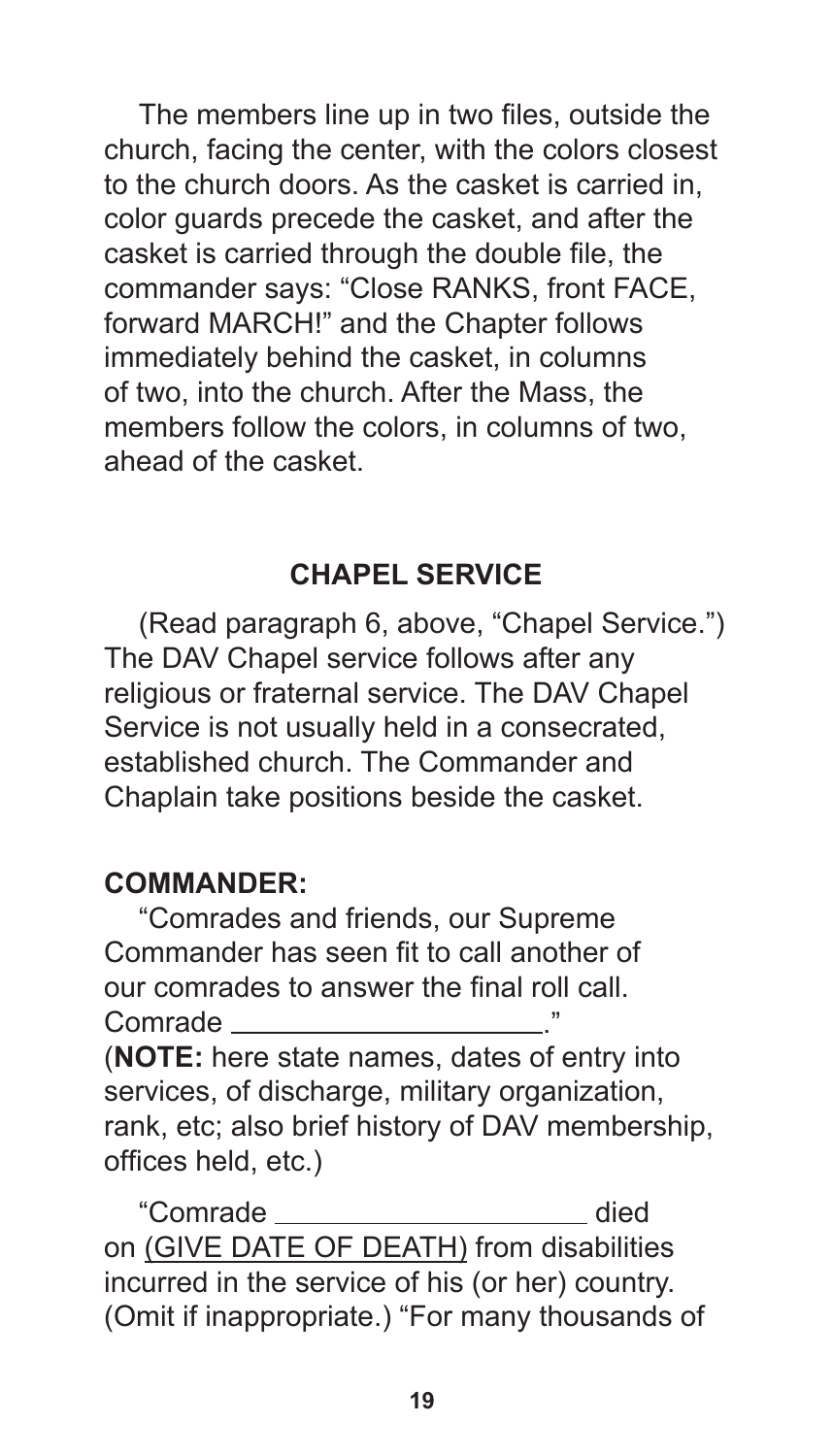<span id="page-20-0"></span>The members line up in two files, outside the church, facing the center, with the colors closest to the church doors. As the casket is carried in, color guards precede the casket, and after the casket is carried through the double file, the commander says: "Close RANKS, front FACE, forward MARCH!" and the Chapter follows immediately behind the casket, in columns of two, into the church. After the Mass, the members follow the colors, in columns of two, ahead of the casket.

### **CHAPEL SERVICE**

(Read paragraph 6, above, "Chapel Service.") The DAV Chapel service follows after any religious or fraternal service. The DAV Chapel Service is not usually held in a consecrated, established church. The Commander and Chaplain take positions beside the casket.

#### **COMMANDER:**

"Comrades and friends, our Supreme Commander has seen fit to call another of our comrades to answer the final roll call. Comrade ." (**NOTE:** here state names, dates of entry into services, of discharge, military organization, rank, etc; also brief history of DAV membership, offices held, etc.)

"Comrade died on (GIVE DATE OF DEATH) from disabilities incurred in the service of his (or her) country. (Omit if inappropriate.) "For many thousands of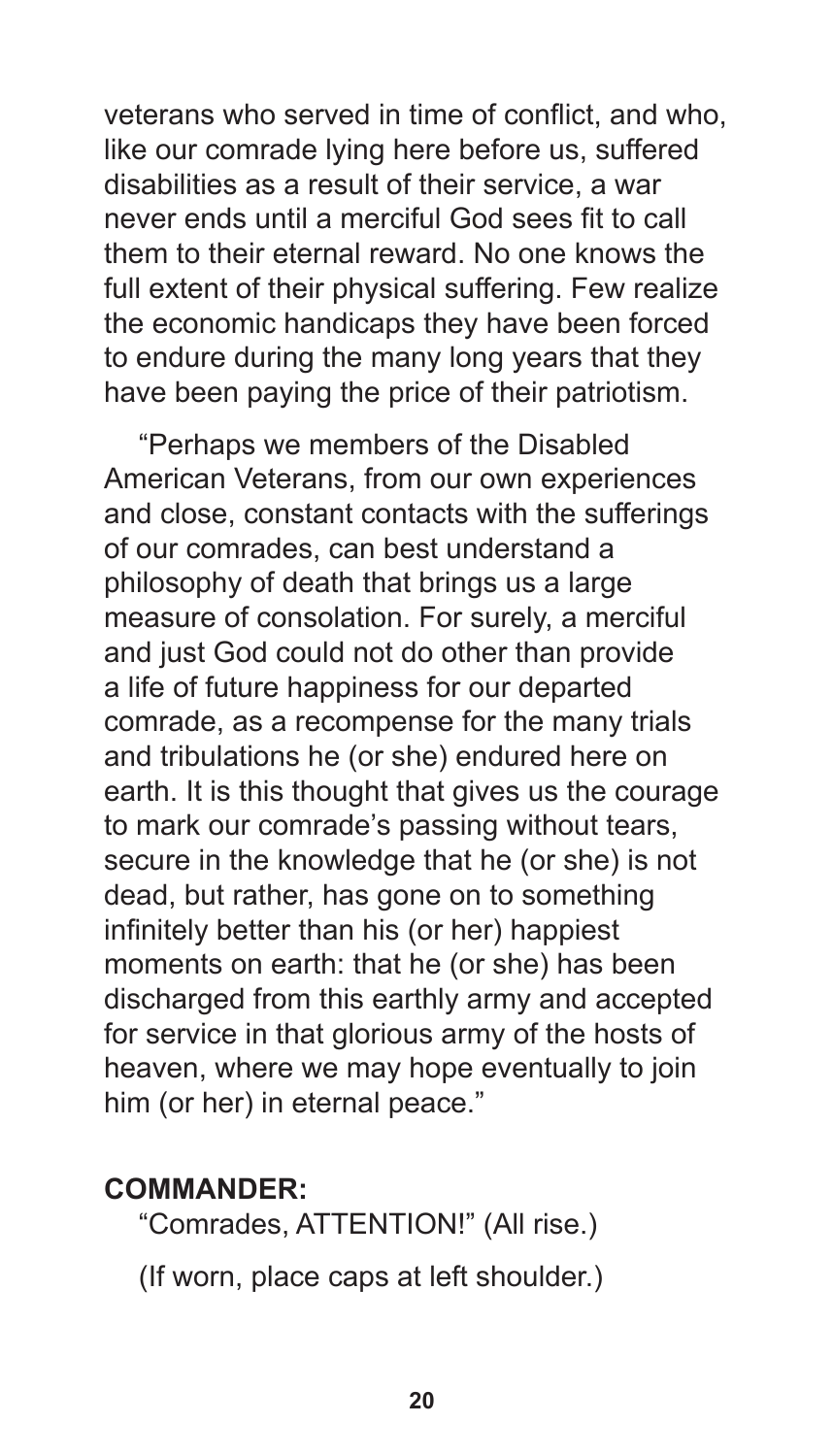veterans who served in time of conflict, and who, like our comrade lying here before us, suffered disabilities as a result of their service, a war never ends until a merciful God sees fit to call them to their eternal reward. No one knows the full extent of their physical suffering. Few realize the economic handicaps they have been forced to endure during the many long years that they have been paying the price of their patriotism.

"Perhaps we members of the Disabled American Veterans, from our own experiences and close, constant contacts with the sufferings of our comrades, can best understand a philosophy of death that brings us a large measure of consolation. For surely, a merciful and just God could not do other than provide a life of future happiness for our departed comrade, as a recompense for the many trials and tribulations he (or she) endured here on earth. It is this thought that gives us the courage to mark our comrade's passing without tears, secure in the knowledge that he (or she) is not dead, but rather, has gone on to something infinitely better than his (or her) happiest moments on earth: that he (or she) has been discharged from this earthly army and accepted for service in that glorious army of the hosts of heaven, where we may hope eventually to join him (or her) in eternal peace."

#### **COMMANDER:**

"Comrades, ATTENTION!" (All rise.)

(If worn, place caps at left shoulder.)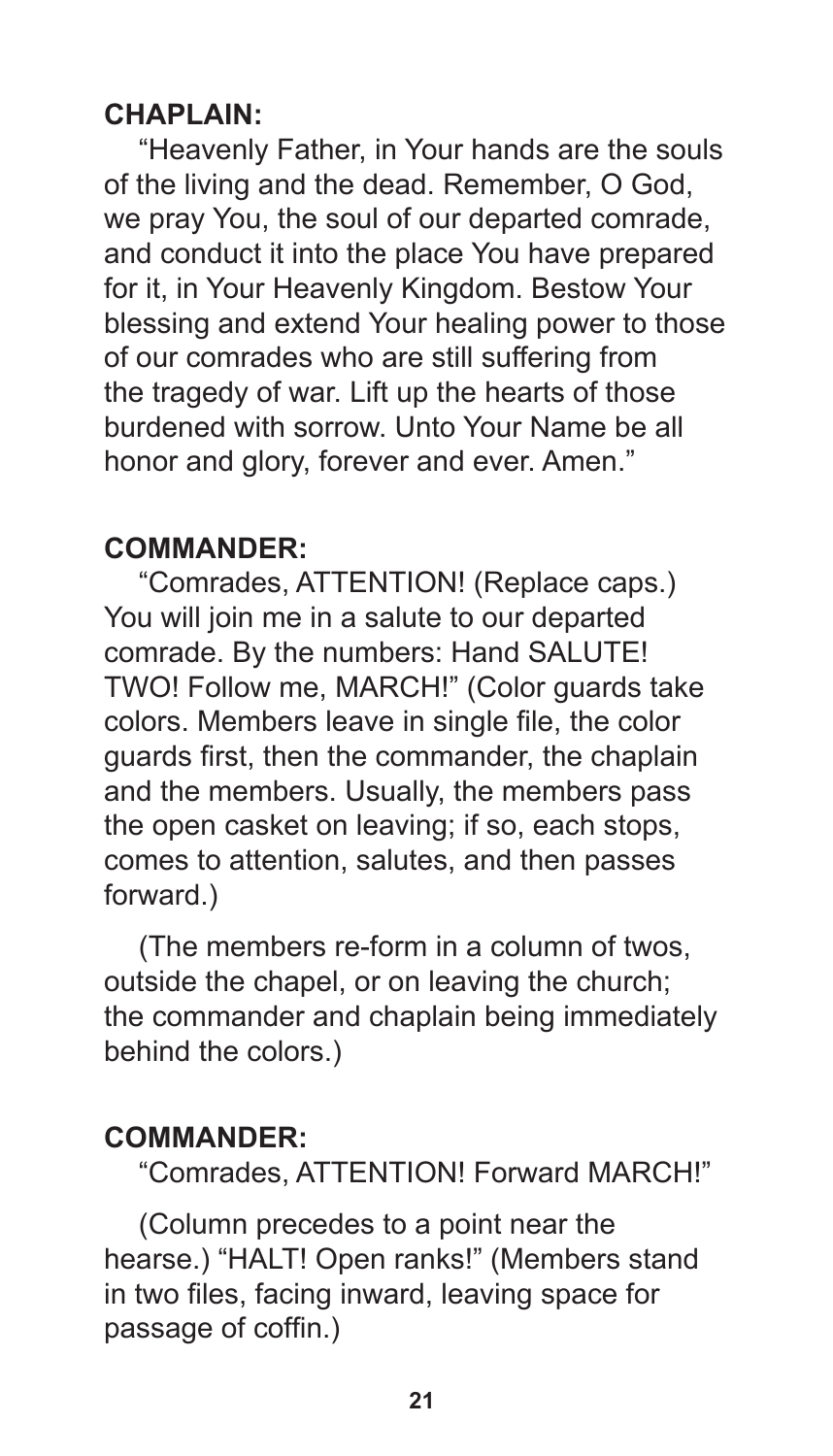### **CHAPLAIN:**

"Heavenly Father, in Your hands are the souls of the living and the dead. Remember, O God, we pray You, the soul of our departed comrade, and conduct it into the place You have prepared for it, in Your Heavenly Kingdom. Bestow Your blessing and extend Your healing power to those of our comrades who are still suffering from the tragedy of war. Lift up the hearts of those burdened with sorrow. Unto Your Name be all honor and glory, forever and ever. Amen."

### **COMMANDER:**

"Comrades, ATTENTION! (Replace caps.) You will join me in a salute to our departed comrade. By the numbers: Hand SALUTE! TWO! Follow me, MARCH!" (Color guards take colors. Members leave in single file, the color guards first, then the commander, the chaplain and the members. Usually, the members pass the open casket on leaving; if so, each stops, comes to attention, salutes, and then passes forward.)

(The members re-form in a column of twos, outside the chapel, or on leaving the church; the commander and chaplain being immediately behind the colors.)

### **COMMANDER:**

"Comrades, ATTENTION! Forward MARCH!"

(Column precedes to a point near the hearse.) "HALT! Open ranks!" (Members stand in two files, facing inward, leaving space for passage of coffin.)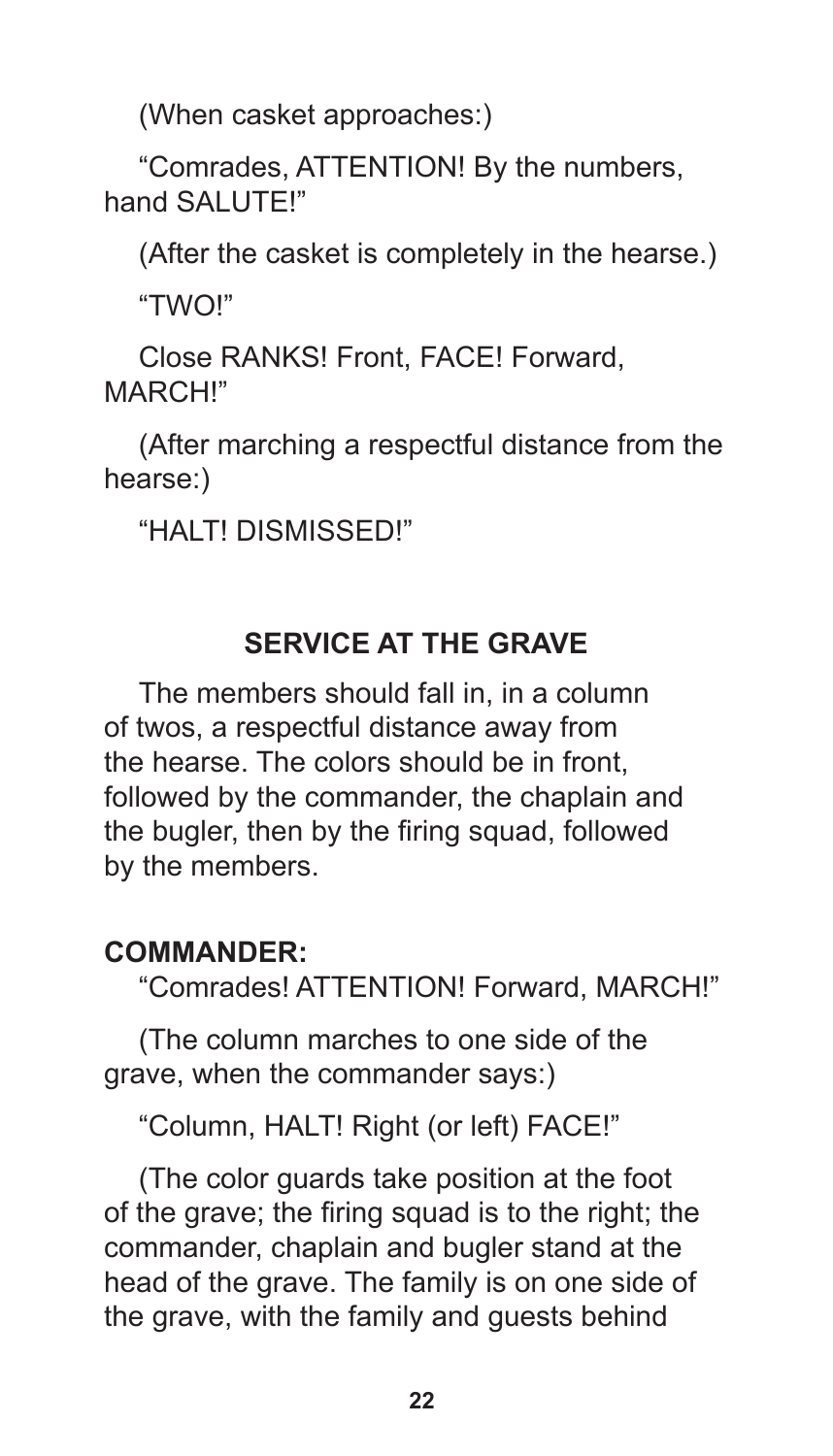<span id="page-23-0"></span>(When casket approaches:)

"Comrades, ATTENTION! By the numbers, hand SALUTE!"

(After the casket is completely in the hearse.)

"TWO!"

Close RANKS! Front, FACE! Forward, MARCH!"

(After marching a respectful distance from the hearse:)

"HALT! DISMISSED!"

# **SERVICE AT THE GRAVE**

The members should fall in, in a column of twos, a respectful distance away from the hearse. The colors should be in front, followed by the commander, the chaplain and the bugler, then by the firing squad, followed by the members.

### **COMMANDER:**

"Comrades! ATTENTION! Forward, MARCH!"

(The column marches to one side of the grave, when the commander says:)

"Column, HALT! Right (or left) FACE!"

(The color guards take position at the foot of the grave; the firing squad is to the right; the commander, chaplain and bugler stand at the head of the grave. The family is on one side of the grave, with the family and guests behind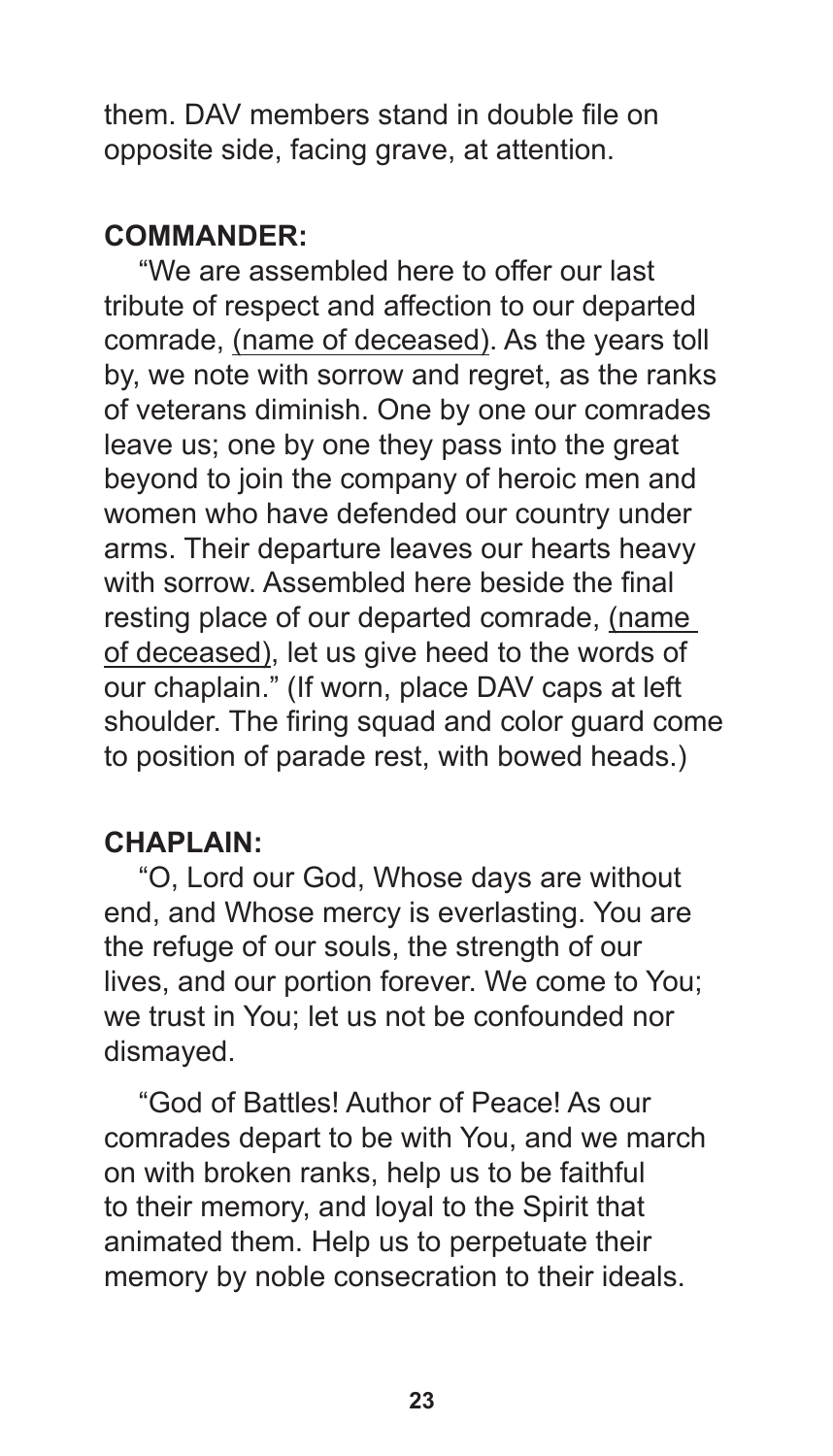them. DAV members stand in double file on opposite side, facing grave, at attention.

### **COMMANDER:**

"We are assembled here to offer our last tribute of respect and affection to our departed comrade, (name of deceased). As the years toll by, we note with sorrow and regret, as the ranks of veterans diminish. One by one our comrades leave us; one by one they pass into the great beyond to join the company of heroic men and women who have defended our country under arms. Their departure leaves our hearts heavy with sorrow. Assembled here beside the final resting place of our departed comrade, (name of deceased), let us give heed to the words of our chaplain." (If worn, place DAV caps at left shoulder. The firing squad and color guard come to position of parade rest, with bowed heads.)

# **CHAPLAIN:**

"O, Lord our God, Whose days are without end, and Whose mercy is everlasting. You are the refuge of our souls, the strength of our lives, and our portion forever. We come to You; we trust in You; let us not be confounded nor dismayed.

"God of Battles! Author of Peace! As our comrades depart to be with You, and we march on with broken ranks, help us to be faithful to their memory, and loyal to the Spirit that animated them. Help us to perpetuate their memory by noble consecration to their ideals.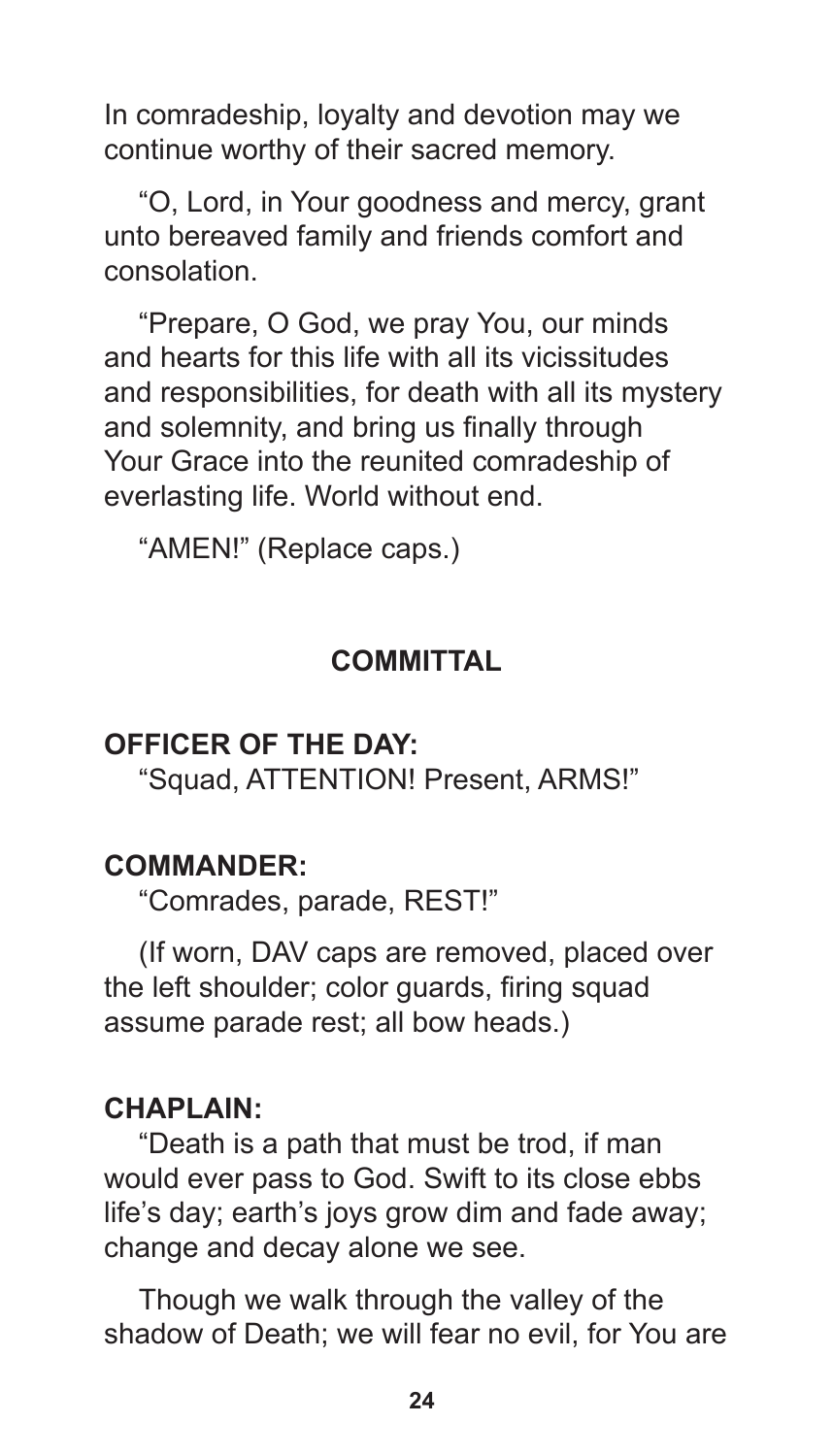<span id="page-25-0"></span>In comradeship, loyalty and devotion may we continue worthy of their sacred memory.

"O, Lord, in Your goodness and mercy, grant unto bereaved family and friends comfort and consolation.

"Prepare, O God, we pray You, our minds and hearts for this life with all its vicissitudes and responsibilities, for death with all its mystery and solemnity, and bring us finally through Your Grace into the reunited comradeship of everlasting life. World without end.

"AMEN!" (Replace caps.)

#### **COMMITTAL**

#### **OFFICER OF THE DAY:**

"Squad, ATTENTION! Present, ARMS!"

#### **COMMANDER:**

"Comrades, parade, REST!"

(If worn, DAV caps are removed, placed over the left shoulder; color guards, firing squad assume parade rest; all bow heads.)

#### **CHAPLAIN:**

"Death is a path that must be trod, if man would ever pass to God. Swift to its close ebbs life's day; earth's joys grow dim and fade away; change and decay alone we see.

Though we walk through the valley of the shadow of Death; we will fear no evil, for You are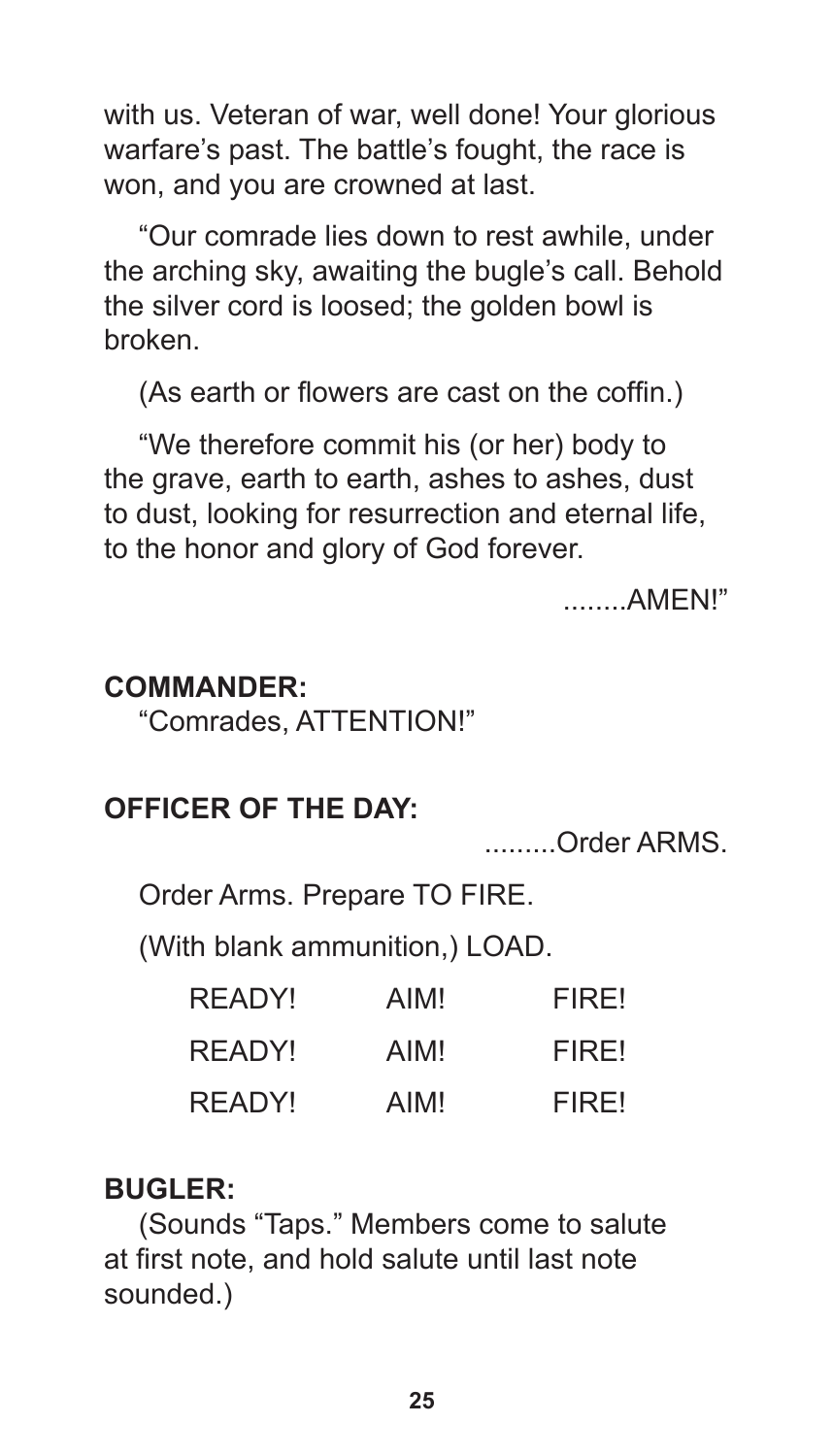with us. Veteran of war, well done! Your glorious warfare's past. The battle's fought, the race is won, and you are crowned at last.

"Our comrade lies down to rest awhile, under the arching sky, awaiting the bugle's call. Behold the silver cord is loosed; the golden bowl is broken.

(As earth or flowers are cast on the coffin.)

"We therefore commit his (or her) body to the grave, earth to earth, ashes to ashes, dust to dust, looking for resurrection and eternal life, to the honor and glory of God forever.

........AMEN!"

### **COMMANDER:**

"Comrades, ATTENTION!"

# **OFFICER OF THE DAY:**

.........Order ARMS.

Order Arms. Prepare TO FIRE.

(With blank ammunition,) LOAD.

| READY! | AIM! | FIRE! |
|--------|------|-------|
| READY! | AIM! | FIRE! |
| READY! | AIM! | FIRE! |

# **BUGLER:**

(Sounds "Taps." Members come to salute at first note, and hold salute until last note sounded.)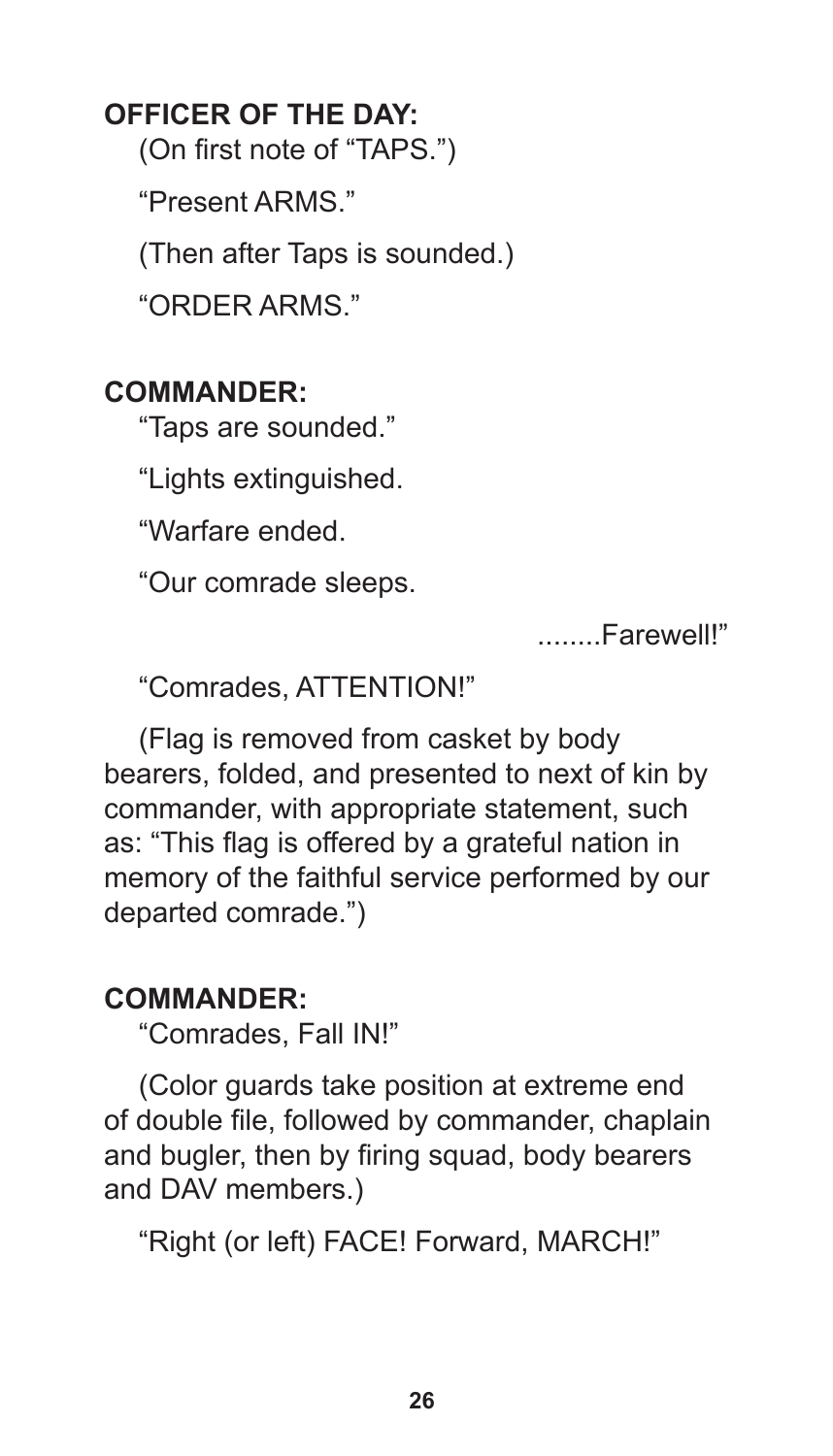**OFFICER OF THE DAY:** (On first note of "TAPS.") "Present ARMS." (Then after Taps is sounded.) "ORDER ARMS."

#### **COMMANDER:**

"Taps are sounded."

"Lights extinguished.

"Warfare ended.

"Our comrade sleeps.

........Farewell!"

"Comrades, ATTENTION!"

(Flag is removed from casket by body bearers, folded, and presented to next of kin by commander, with appropriate statement, such as: "This flag is offered by a grateful nation in memory of the faithful service performed by our departed comrade.")

#### **COMMANDER:**

"Comrades, Fall IN!"

(Color guards take position at extreme end of double file, followed by commander, chaplain and bugler, then by firing squad, body bearers and DAV members.)

"Right (or left) FACE! Forward, MARCH!"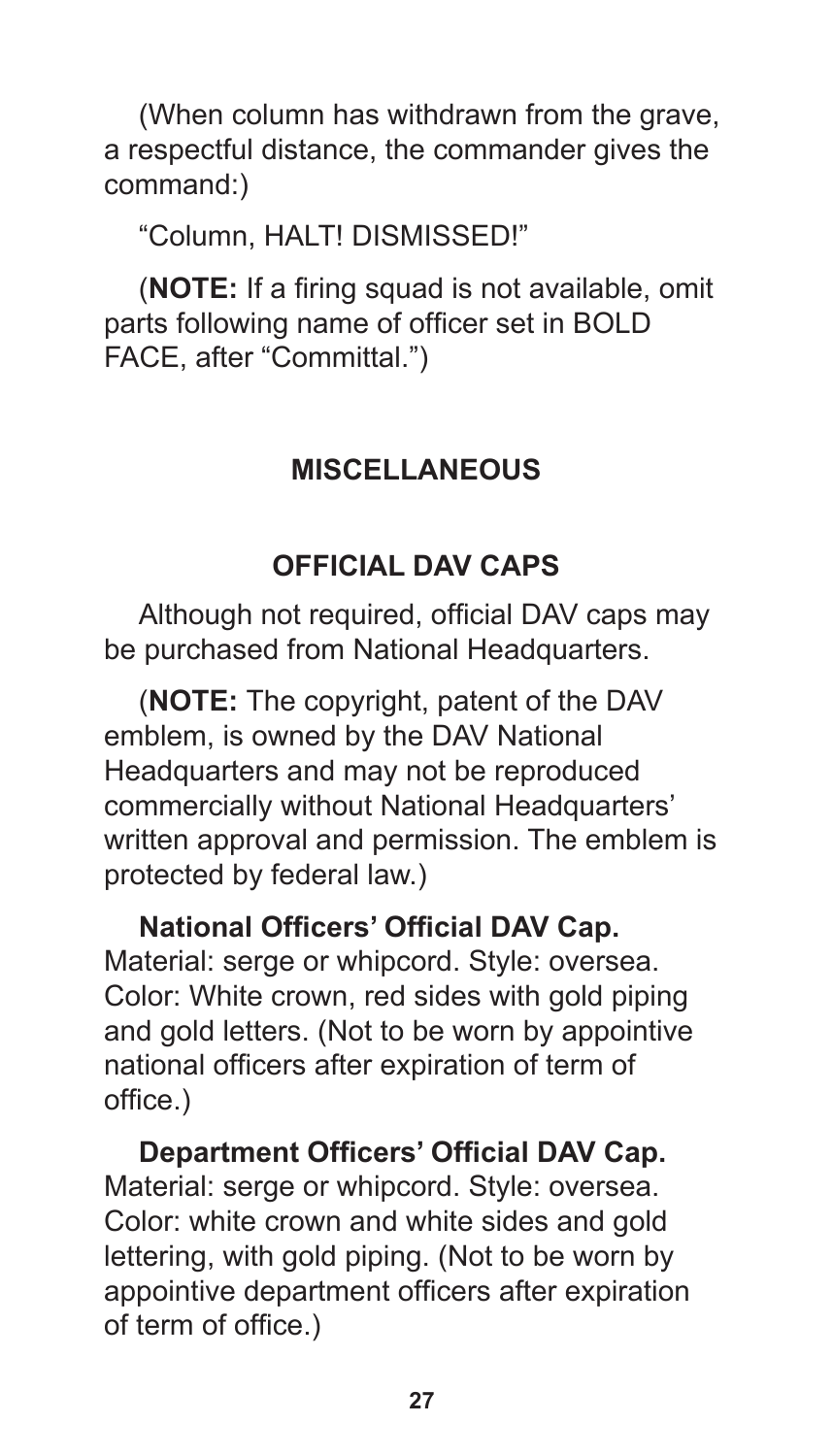<span id="page-28-0"></span>(When column has withdrawn from the grave, a respectful distance, the commander gives the command:)

"Column, HALT! DISMISSED!"

(**NOTE:** If a firing squad is not available, omit parts following name of officer set in BOLD FACE, after "Committal.")

### **MISCELLANEOUS**

# **OFFICIAL DAV CAPS**

Although not required, official DAV caps may be purchased from National Headquarters.

(**NOTE:** The copyright, patent of the DAV emblem, is owned by the DAV National Headquarters and may not be reproduced commercially without National Headquarters' written approval and permission. The emblem is protected by federal law.)

**National Officers' Official DAV Cap.**

Material: serge or whipcord. Style: oversea. Color: White crown, red sides with gold piping and gold letters. (Not to be worn by appointive national officers after expiration of term of office.)

**Department Officers' Official DAV Cap.**  Material: serge or whipcord. Style: oversea. Color: white crown and white sides and gold lettering, with gold piping. (Not to be worn by appointive department officers after expiration of term of office.)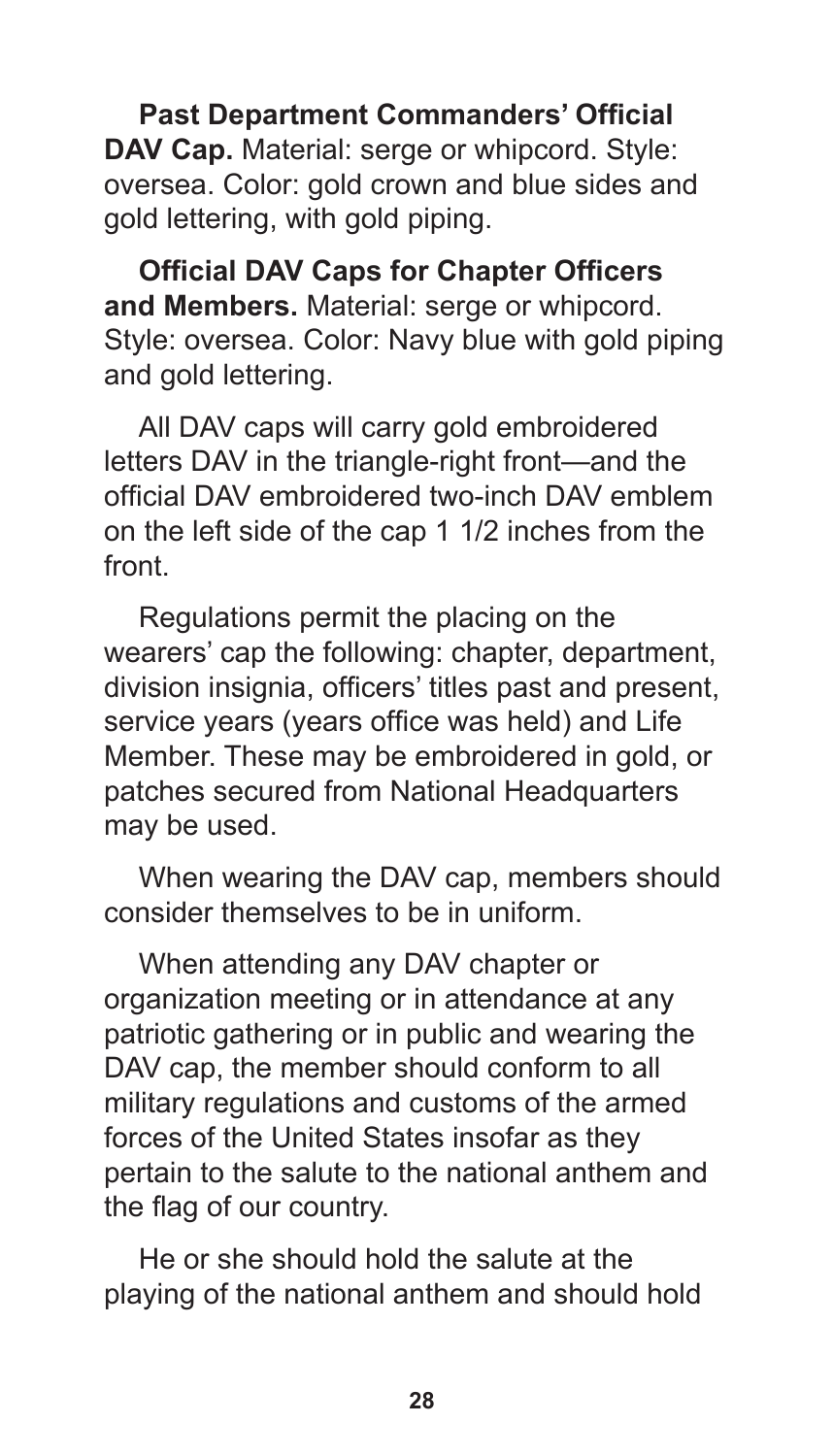**Past Department Commanders' Official DAV Cap.** Material: serge or whipcord. Style: oversea. Color: gold crown and blue sides and gold lettering, with gold piping.

**Official DAV Caps for Chapter Officers and Members.** Material: serge or whipcord. Style: oversea. Color: Navy blue with gold piping and gold lettering.

All DAV caps will carry gold embroidered letters DAV in the triangle-right front—and the official DAV embroidered two-inch DAV emblem on the left side of the cap 1 1/2 inches from the front.

Regulations permit the placing on the wearers' cap the following: chapter, department, division insignia, officers' titles past and present, service years (years office was held) and Life Member. These may be embroidered in gold, or patches secured from National Headquarters may be used.

When wearing the DAV cap, members should consider themselves to be in uniform.

When attending any DAV chapter or organization meeting or in attendance at any patriotic gathering or in public and wearing the DAV cap, the member should conform to all military regulations and customs of the armed forces of the United States insofar as they pertain to the salute to the national anthem and the flag of our country.

He or she should hold the salute at the playing of the national anthem and should hold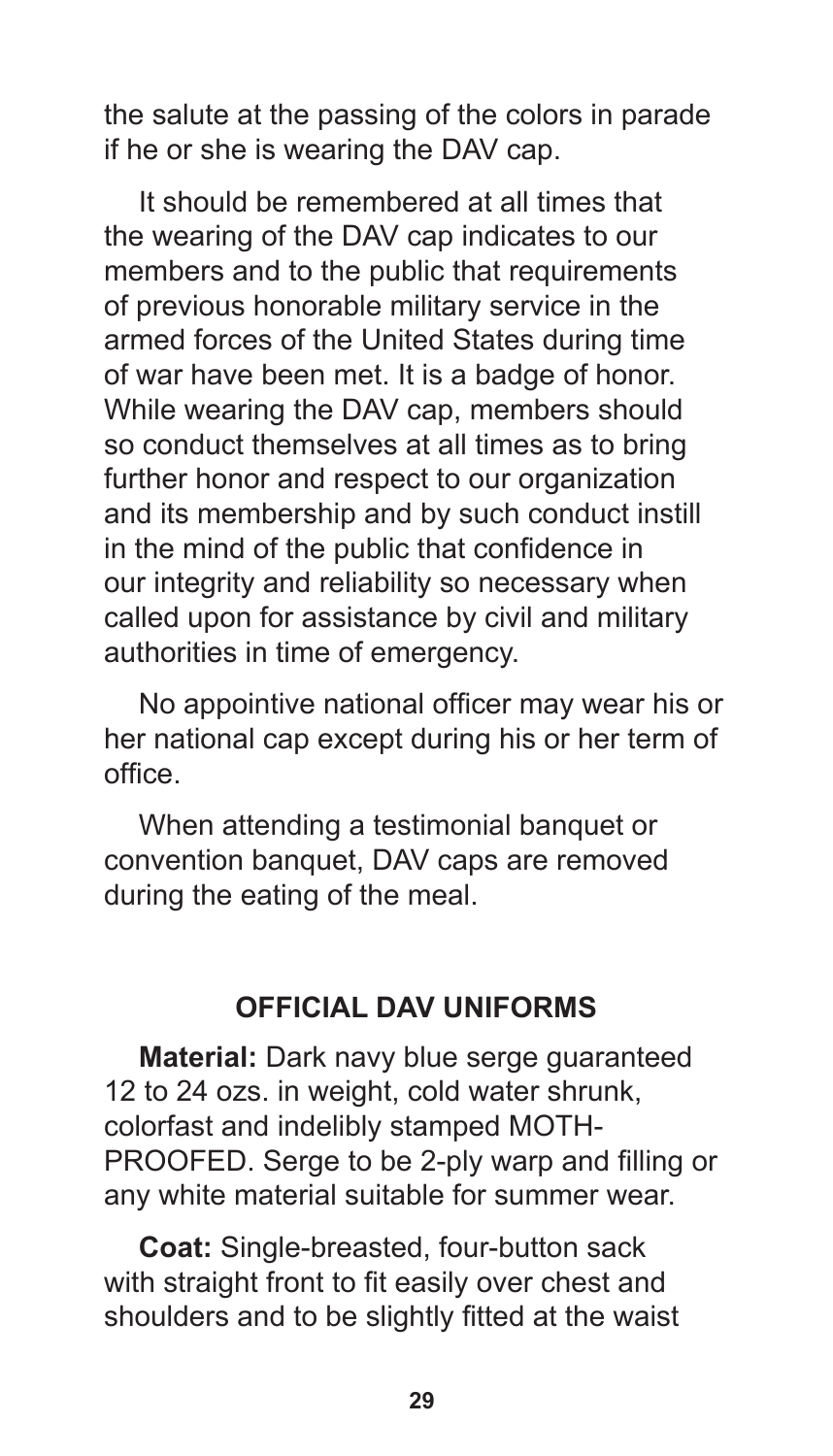<span id="page-30-0"></span>the salute at the passing of the colors in parade if he or she is wearing the DAV cap.

It should be remembered at all times that the wearing of the DAV cap indicates to our members and to the public that requirements of previous honorable military service in the armed forces of the United States during time of war have been met. It is a badge of honor. While wearing the DAV cap, members should so conduct themselves at all times as to bring further honor and respect to our organization and its membership and by such conduct instill in the mind of the public that confidence in our integrity and reliability so necessary when called upon for assistance by civil and military authorities in time of emergency.

No appointive national officer may wear his or her national cap except during his or her term of office.

When attending a testimonial banquet or convention banquet, DAV caps are removed during the eating of the meal.

### **OFFICIAL DAV UNIFORMS**

**Material:** Dark navy blue serge guaranteed 12 to 24 ozs. in weight, cold water shrunk, colorfast and indelibly stamped MOTH-PROOFED. Serge to be 2-ply warp and filling or any white material suitable for summer wear.

**Coat:** Single-breasted, four-button sack with straight front to fit easily over chest and shoulders and to be slightly fitted at the waist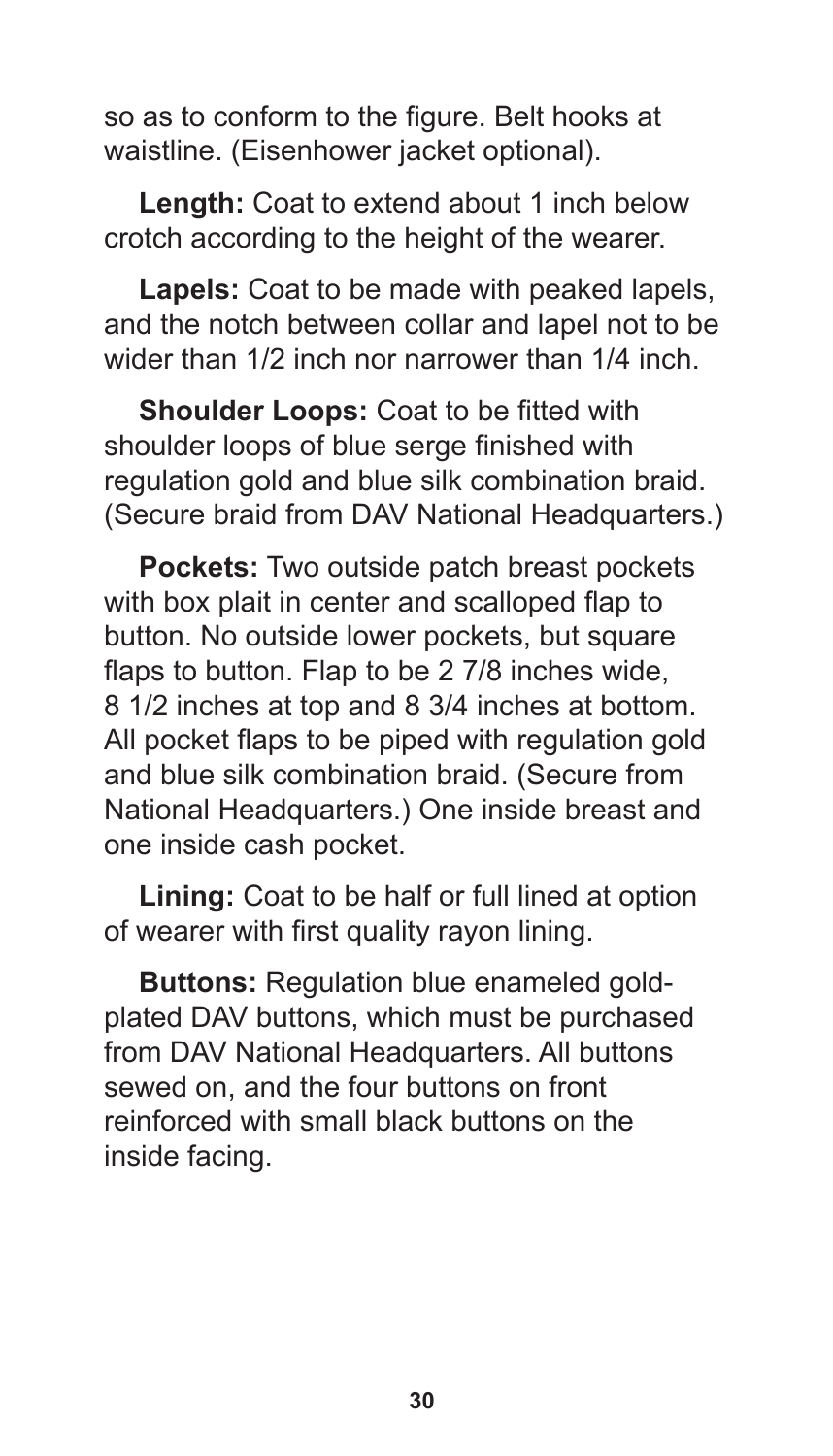so as to conform to the figure. Belt hooks at waistline. (Eisenhower jacket optional).

Length: Coat to extend about 1 inch below crotch according to the height of the wearer.

**Lapels:** Coat to be made with peaked lapels, and the notch between collar and lapel not to be wider than 1/2 inch nor narrower than 1/4 inch.

**Shoulder Loops:** Coat to be fitted with shoulder loops of blue serge finished with regulation gold and blue silk combination braid. (Secure braid from DAV National Headquarters.)

**Pockets:** Two outside patch breast pockets with box plait in center and scalloped flap to button. No outside lower pockets, but square flaps to button. Flap to be 2 7/8 inches wide, 8 1/2 inches at top and 8 3/4 inches at bottom. All pocket flaps to be piped with regulation gold and blue silk combination braid. (Secure from National Headquarters.) One inside breast and one inside cash pocket.

**Lining:** Coat to be half or full lined at option of wearer with first quality rayon lining.

**Buttons:** Regulation blue enameled goldplated DAV buttons, which must be purchased from DAV National Headquarters. All buttons sewed on, and the four buttons on front reinforced with small black buttons on the inside facing.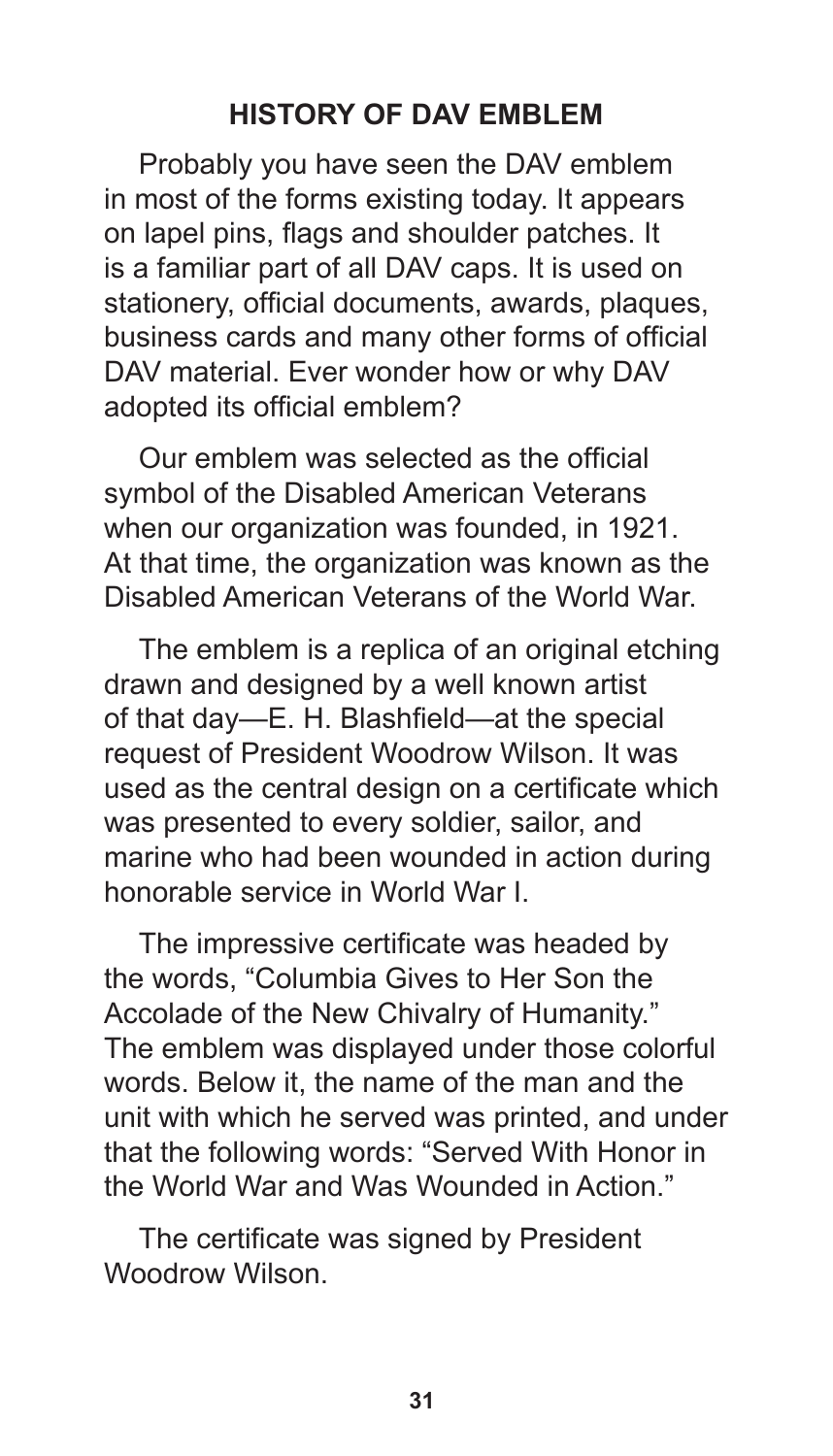# **HISTORY OF DAV EMBLEM**

<span id="page-32-0"></span>Probably you have seen the DAV emblem in most of the forms existing today. It appears on lapel pins, flags and shoulder patches. It is a familiar part of all DAV caps. It is used on stationery, official documents, awards, plaques, business cards and many other forms of official DAV material. Ever wonder how or why DAV adopted its official emblem?

Our emblem was selected as the official symbol of the Disabled American Veterans when our organization was founded, in 1921. At that time, the organization was known as the Disabled American Veterans of the World War.

The emblem is a replica of an original etching drawn and designed by a well known artist of that day—E. H. Blashfield—at the special request of President Woodrow Wilson. It was used as the central design on a certificate which was presented to every soldier, sailor, and marine who had been wounded in action during honorable service in World War I.

The impressive certificate was headed by the words, "Columbia Gives to Her Son the Accolade of the New Chivalry of Humanity." The emblem was displayed under those colorful words. Below it, the name of the man and the unit with which he served was printed, and under that the following words: "Served With Honor in the World War and Was Wounded in Action."

The certificate was signed by President Woodrow Wilson.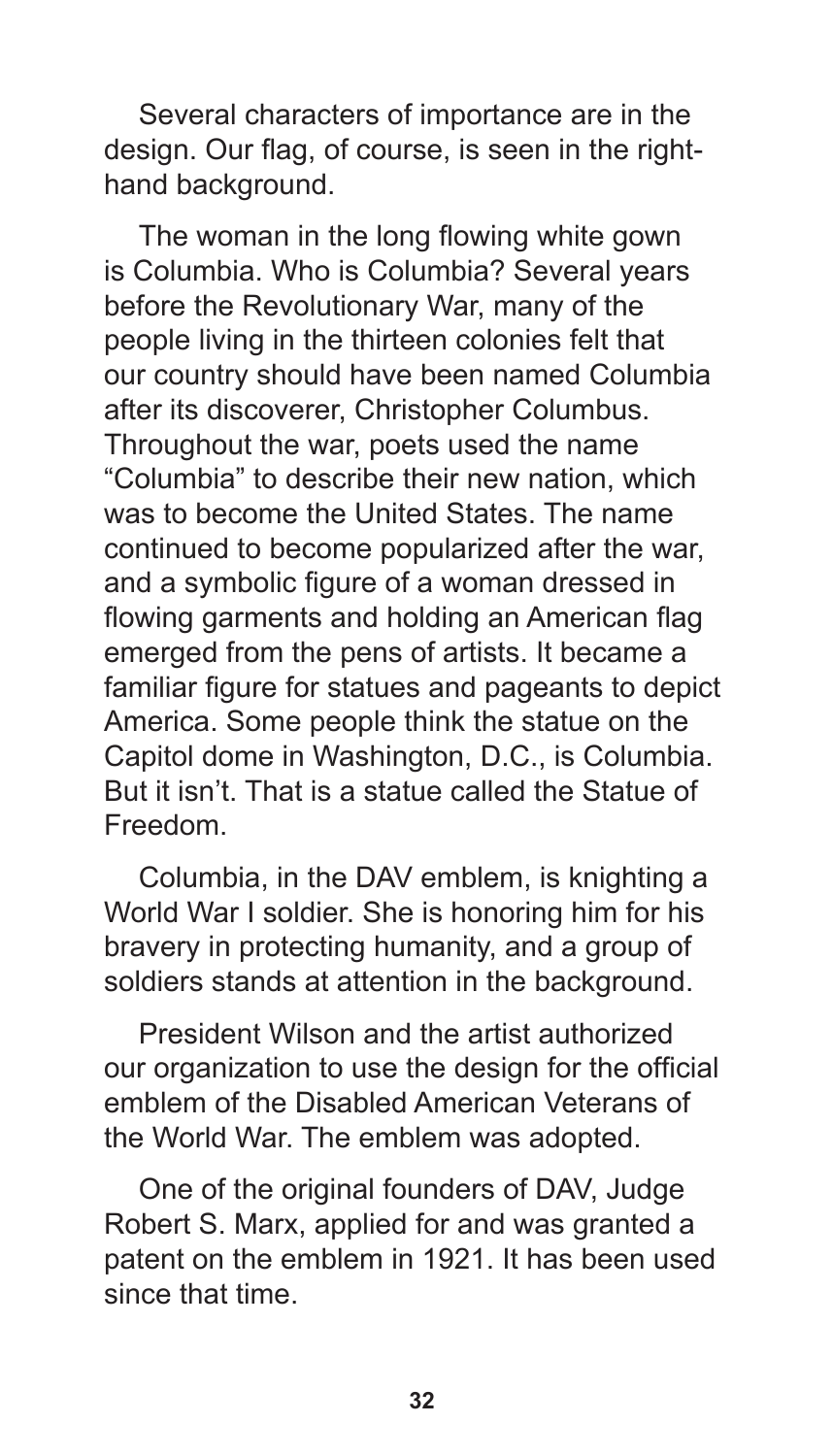Several characters of importance are in the design. Our flag, of course, is seen in the righthand background.

The woman in the long flowing white gown is Columbia. Who is Columbia? Several years before the Revolutionary War, many of the people living in the thirteen colonies felt that our country should have been named Columbia after its discoverer, Christopher Columbus. Throughout the war, poets used the name "Columbia" to describe their new nation, which was to become the United States. The name continued to become popularized after the war, and a symbolic figure of a woman dressed in flowing garments and holding an American flag emerged from the pens of artists. It became a familiar figure for statues and pageants to depict America. Some people think the statue on the Capitol dome in Washington, D.C., is Columbia. But it isn't. That is a statue called the Statue of Freedom.

Columbia, in the DAV emblem, is knighting a World War I soldier. She is honoring him for his bravery in protecting humanity, and a group of soldiers stands at attention in the background.

President Wilson and the artist authorized our organization to use the design for the official emblem of the Disabled American Veterans of the World War. The emblem was adopted.

One of the original founders of DAV, Judge Robert S. Marx, applied for and was granted a patent on the emblem in 1921. It has been used since that time.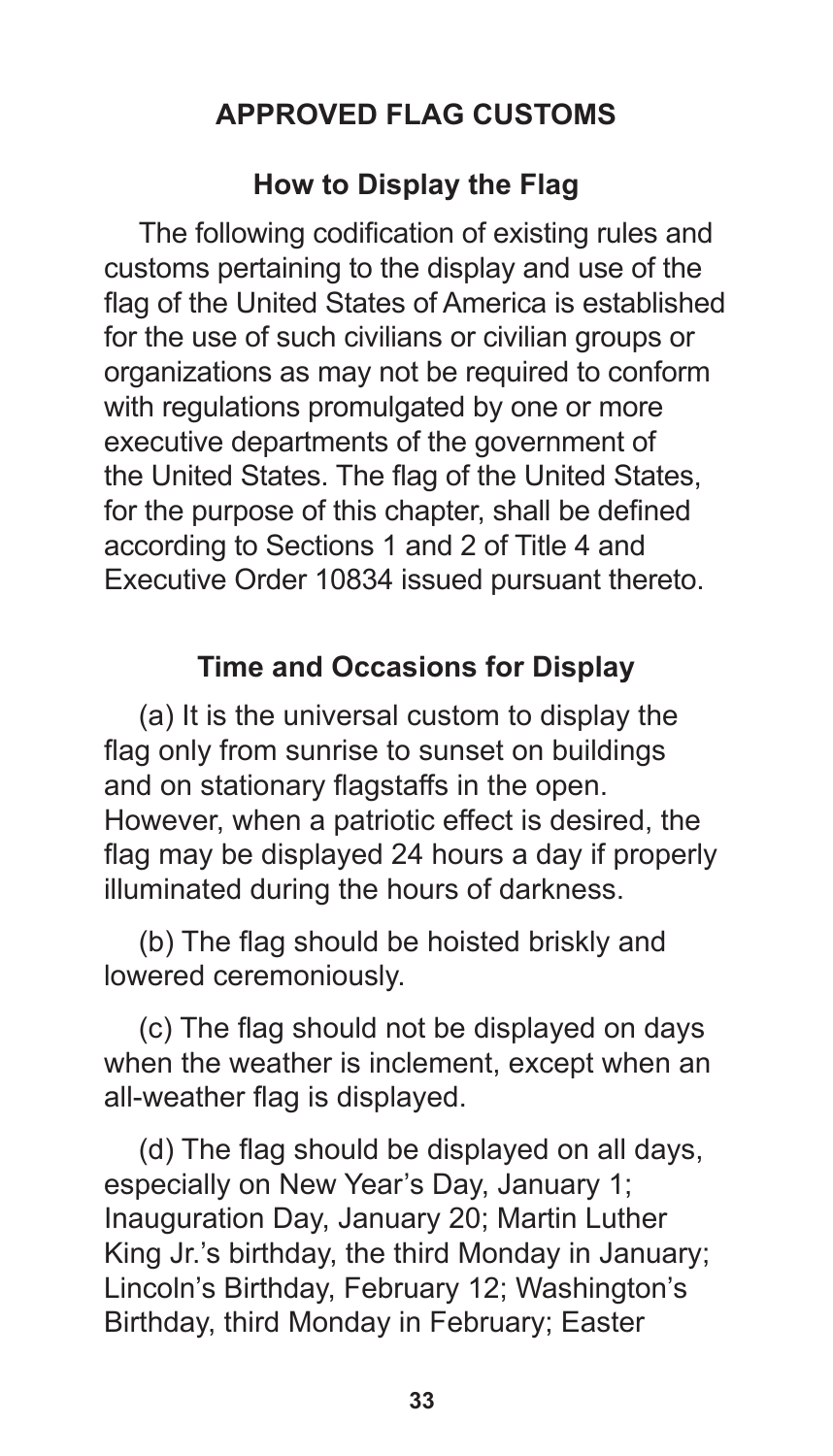# <span id="page-34-0"></span>**APPROVED FLAG CUSTOMS**

# **How to Display the Flag**

The following codification of existing rules and customs pertaining to the display and use of the flag of the United States of America is established for the use of such civilians or civilian groups or organizations as may not be required to conform with regulations promulgated by one or more executive departments of the government of the United States. The flag of the United States, for the purpose of this chapter, shall be defined according to Sections 1 and 2 of Title 4 and Executive Order 10834 issued pursuant thereto.

# **Time and Occasions for Display**

(a) It is the universal custom to display the flag only from sunrise to sunset on buildings and on stationary flagstaffs in the open. However, when a patriotic effect is desired, the flag may be displayed 24 hours a day if properly illuminated during the hours of darkness.

(b) The flag should be hoisted briskly and lowered ceremoniously.

(c) The flag should not be displayed on days when the weather is inclement, except when an all-weather flag is displayed.

(d) The flag should be displayed on all days, especially on New Year's Day, January 1; Inauguration Day, January 20; Martin Luther King Jr.'s birthday, the third Monday in January; Lincoln's Birthday, February 12; Washington's Birthday, third Monday in February; Easter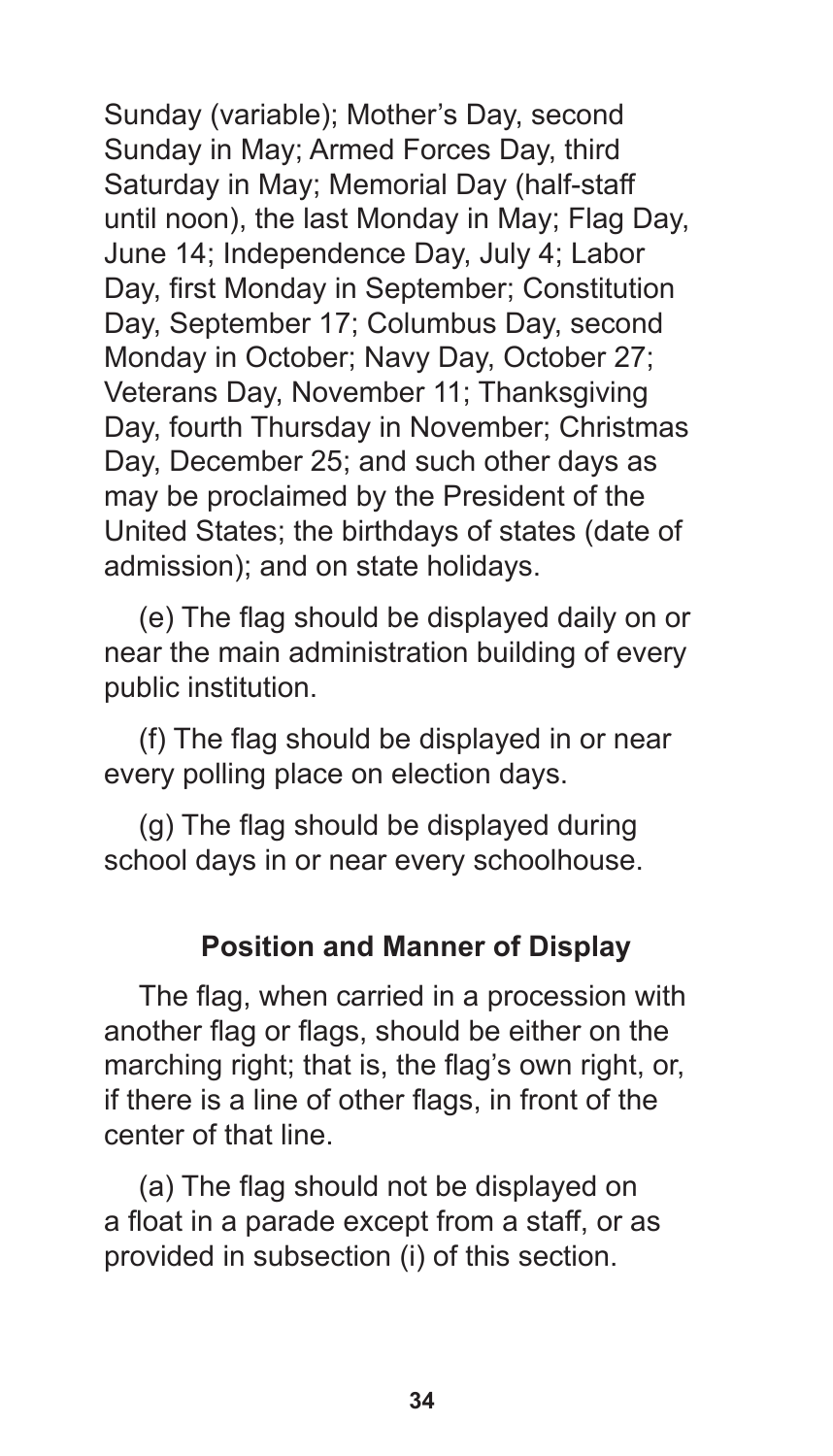<span id="page-35-0"></span>Sunday (variable); Mother's Day, second Sunday in May; Armed Forces Day, third Saturday in May; Memorial Day (half-staff until noon), the last Monday in May; Flag Day, June 14; Independence Day, July 4; Labor Day, first Monday in September; Constitution Day, September 17; Columbus Day, second Monday in October; Navy Day, October 27; Veterans Day, November 11; Thanksgiving Day, fourth Thursday in November; Christmas Day, December 25; and such other days as may be proclaimed by the President of the United States; the birthdays of states (date of admission); and on state holidays.

(e) The flag should be displayed daily on or near the main administration building of every public institution.

(f) The flag should be displayed in or near every polling place on election days.

(g) The flag should be displayed during school days in or near every schoolhouse.

### **Position and Manner of Display**

The flag, when carried in a procession with another flag or flags, should be either on the marching right; that is, the flag's own right, or, if there is a line of other flags, in front of the center of that line.

(a) The flag should not be displayed on a float in a parade except from a staff, or as provided in subsection (i) of this section.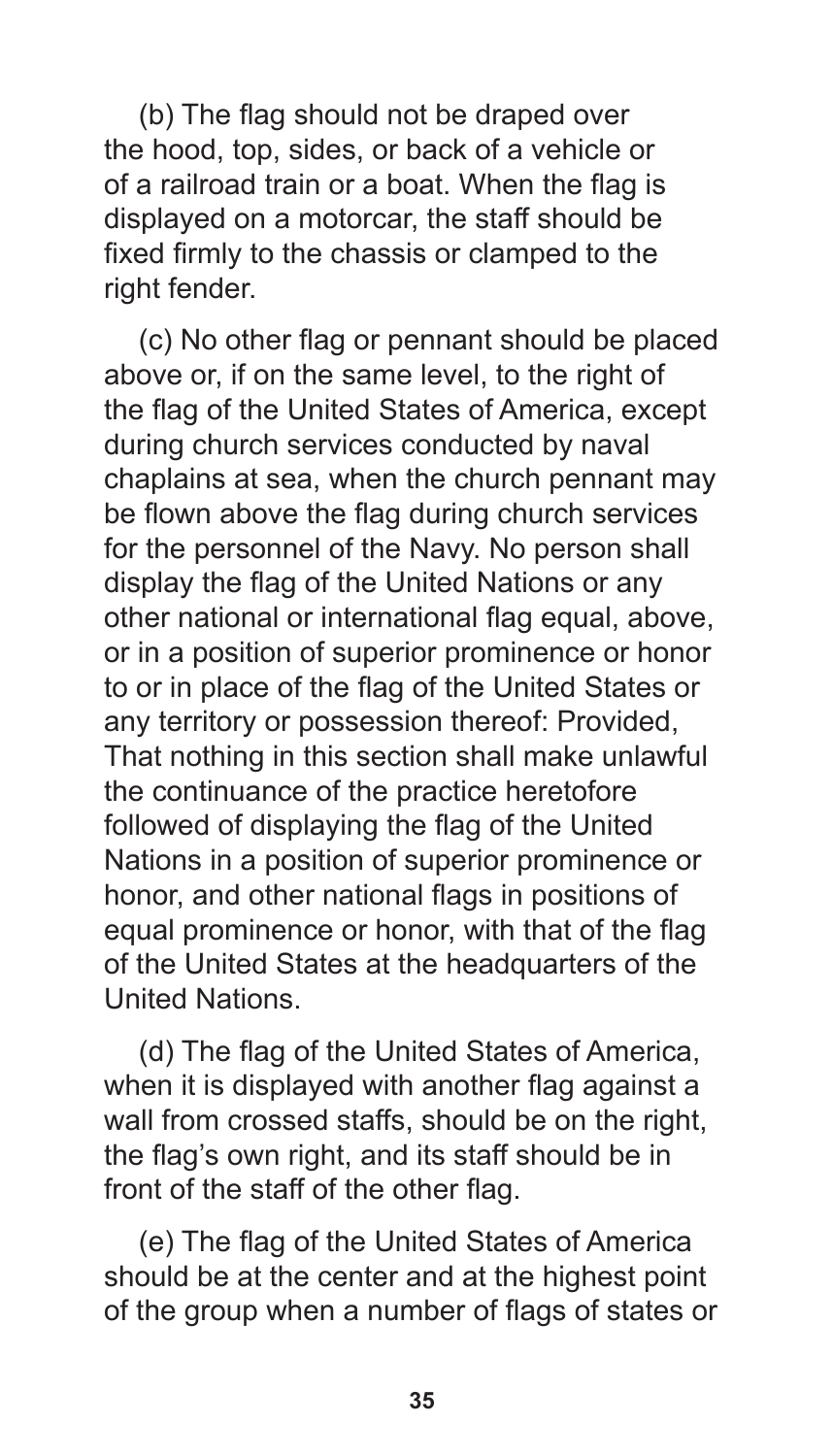(b) The flag should not be draped over the hood, top, sides, or back of a vehicle or of a railroad train or a boat. When the flag is displayed on a motorcar, the staff should be fixed firmly to the chassis or clamped to the right fender.

(c) No other flag or pennant should be placed above or, if on the same level, to the right of the flag of the United States of America, except during church services conducted by naval chaplains at sea, when the church pennant may be flown above the flag during church services for the personnel of the Navy. No person shall display the flag of the United Nations or any other national or international flag equal, above, or in a position of superior prominence or honor to or in place of the flag of the United States or any territory or possession thereof: Provided, That nothing in this section shall make unlawful the continuance of the practice heretofore followed of displaying the flag of the United Nations in a position of superior prominence or honor, and other national flags in positions of equal prominence or honor, with that of the flag of the United States at the headquarters of the United Nations.

(d) The flag of the United States of America, when it is displayed with another flag against a wall from crossed staffs, should be on the right, the flag's own right, and its staff should be in front of the staff of the other flag.

(e) The flag of the United States of America should be at the center and at the highest point of the group when a number of flags of states or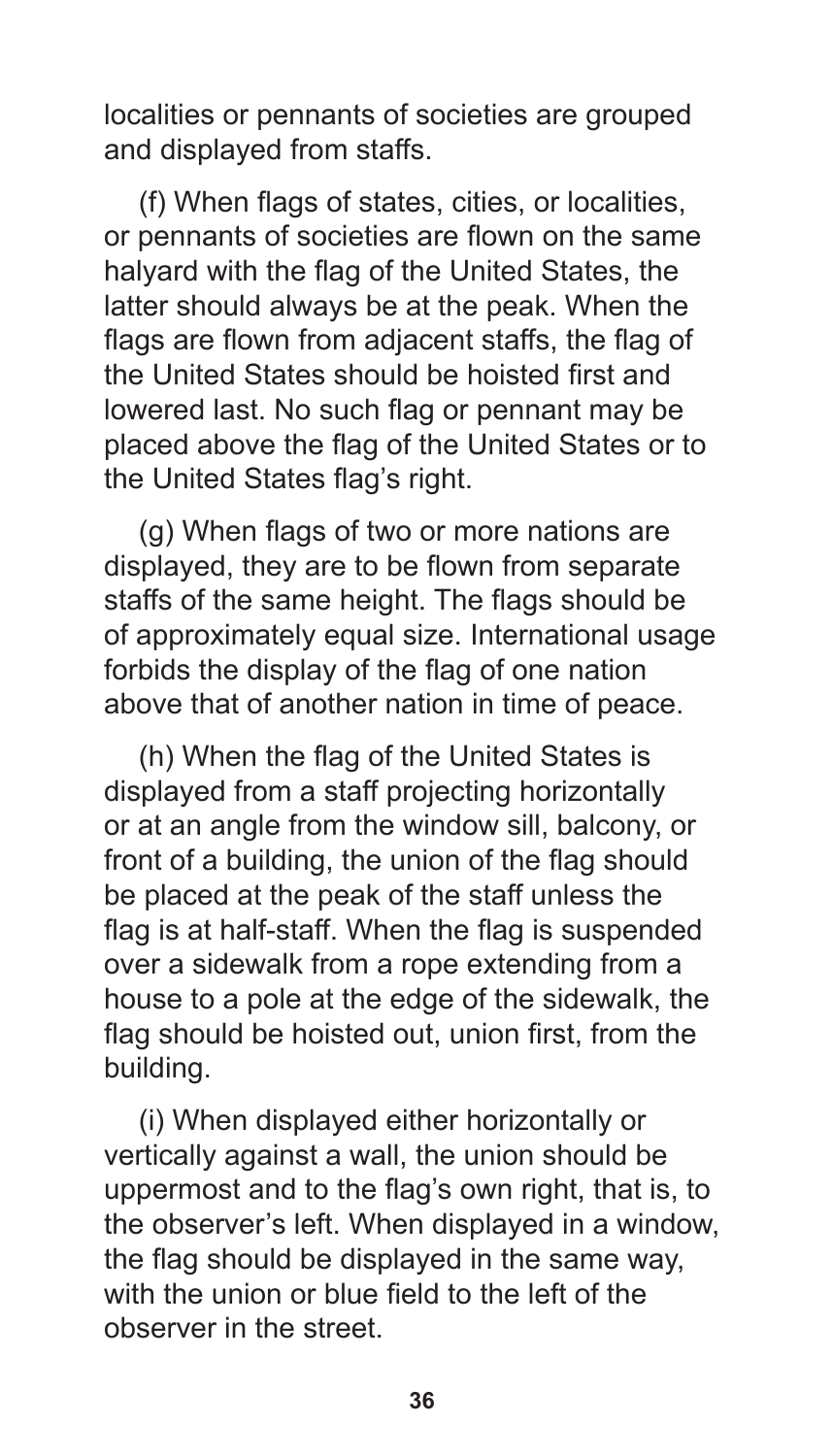localities or pennants of societies are grouped and displayed from staffs.

(f) When flags of states, cities, or localities, or pennants of societies are flown on the same halyard with the flag of the United States, the latter should always be at the peak. When the flags are flown from adjacent staffs, the flag of the United States should be hoisted first and lowered last. No such flag or pennant may be placed above the flag of the United States or to the United States flag's right.

(g) When flags of two or more nations are displayed, they are to be flown from separate staffs of the same height. The flags should be of approximately equal size. International usage forbids the display of the flag of one nation above that of another nation in time of peace.

(h) When the flag of the United States is displayed from a staff projecting horizontally or at an angle from the window sill, balcony, or front of a building, the union of the flag should be placed at the peak of the staff unless the flag is at half-staff. When the flag is suspended over a sidewalk from a rope extending from a house to a pole at the edge of the sidewalk, the flag should be hoisted out, union first, from the building.

(i) When displayed either horizontally or vertically against a wall, the union should be uppermost and to the flag's own right, that is, to the observer's left. When displayed in a window, the flag should be displayed in the same way, with the union or blue field to the left of the observer in the street.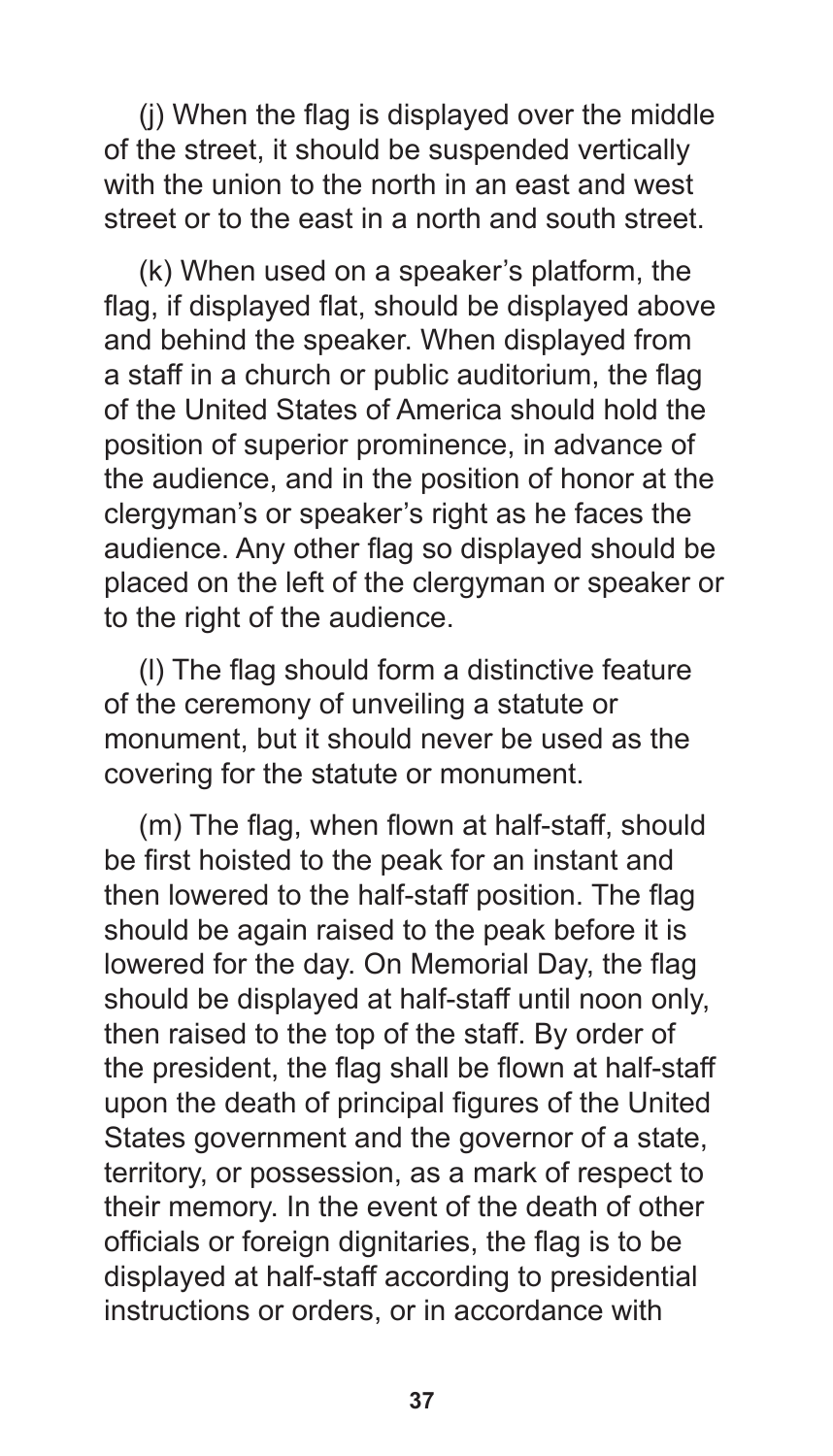(j) When the flag is displayed over the middle of the street, it should be suspended vertically with the union to the north in an east and west street or to the east in a north and south street.

(k) When used on a speaker's platform, the flag, if displayed flat, should be displayed above and behind the speaker. When displayed from a staff in a church or public auditorium, the flag of the United States of America should hold the position of superior prominence, in advance of the audience, and in the position of honor at the clergyman's or speaker's right as he faces the audience. Any other flag so displayed should be placed on the left of the clergyman or speaker or to the right of the audience.

(l) The flag should form a distinctive feature of the ceremony of unveiling a statute or monument, but it should never be used as the covering for the statute or monument.

(m) The flag, when flown at half-staff, should be first hoisted to the peak for an instant and then lowered to the half-staff position. The flag should be again raised to the peak before it is lowered for the day. On Memorial Day, the flag should be displayed at half-staff until noon only, then raised to the top of the staff. By order of the president, the flag shall be flown at half-staff upon the death of principal figures of the United States government and the governor of a state, territory, or possession, as a mark of respect to their memory. In the event of the death of other officials or foreign dignitaries, the flag is to be displayed at half-staff according to presidential instructions or orders, or in accordance with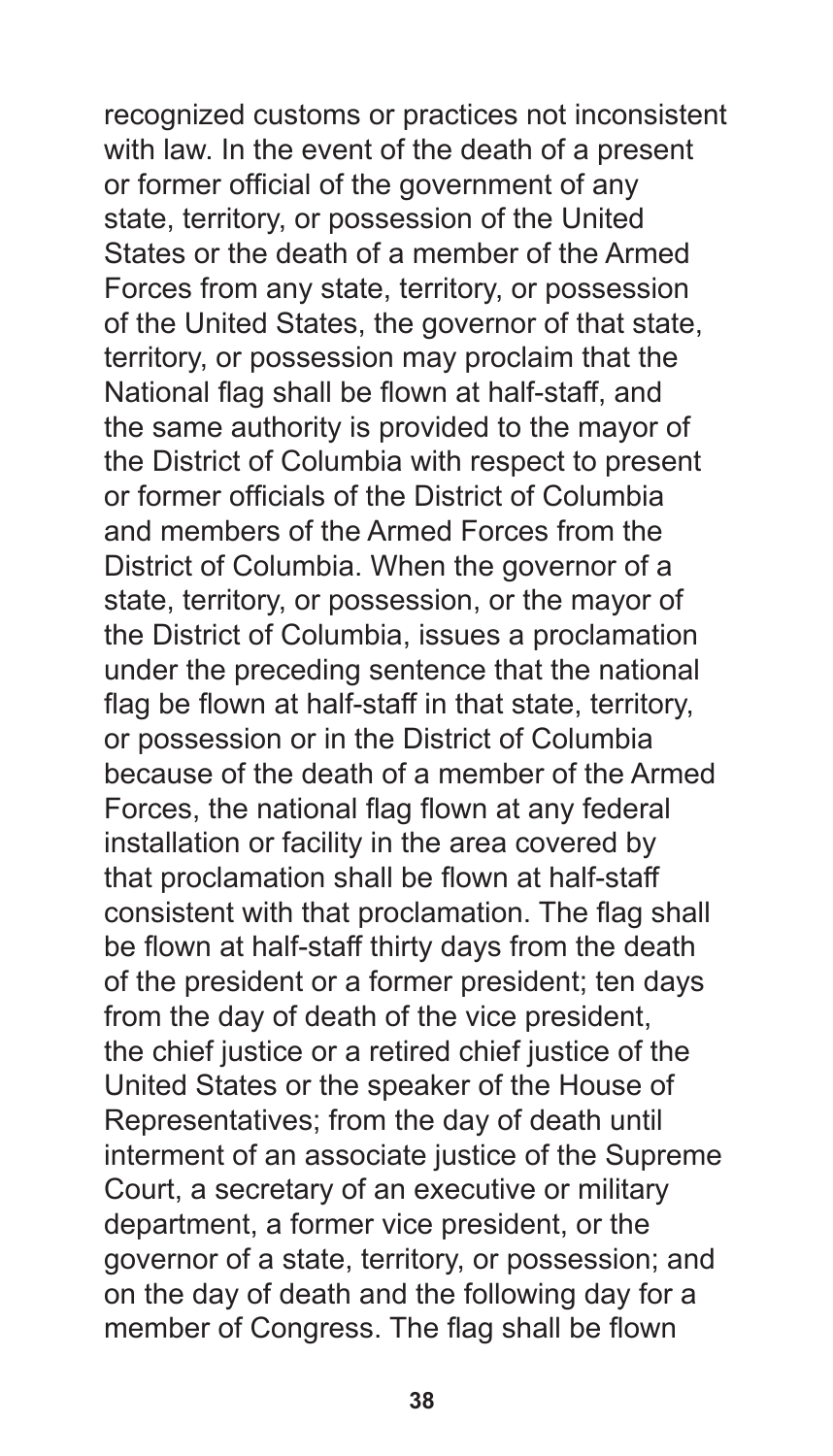recognized customs or practices not inconsistent with law. In the event of the death of a present or former official of the government of any state, territory, or possession of the United States or the death of a member of the Armed Forces from any state, territory, or possession of the United States, the governor of that state, territory, or possession may proclaim that the National flag shall be flown at half-staff, and the same authority is provided to the mayor of the District of Columbia with respect to present or former officials of the District of Columbia and members of the Armed Forces from the District of Columbia. When the governor of a state, territory, or possession, or the mayor of the District of Columbia, issues a proclamation under the preceding sentence that the national flag be flown at half-staff in that state, territory, or possession or in the District of Columbia because of the death of a member of the Armed Forces, the national flag flown at any federal installation or facility in the area covered by that proclamation shall be flown at half-staff consistent with that proclamation. The flag shall be flown at half-staff thirty days from the death of the president or a former president; ten days from the day of death of the vice president, the chief justice or a retired chief justice of the United States or the speaker of the House of Representatives; from the day of death until interment of an associate justice of the Supreme Court, a secretary of an executive or military department, a former vice president, or the governor of a state, territory, or possession; and on the day of death and the following day for a member of Congress. The flag shall be flown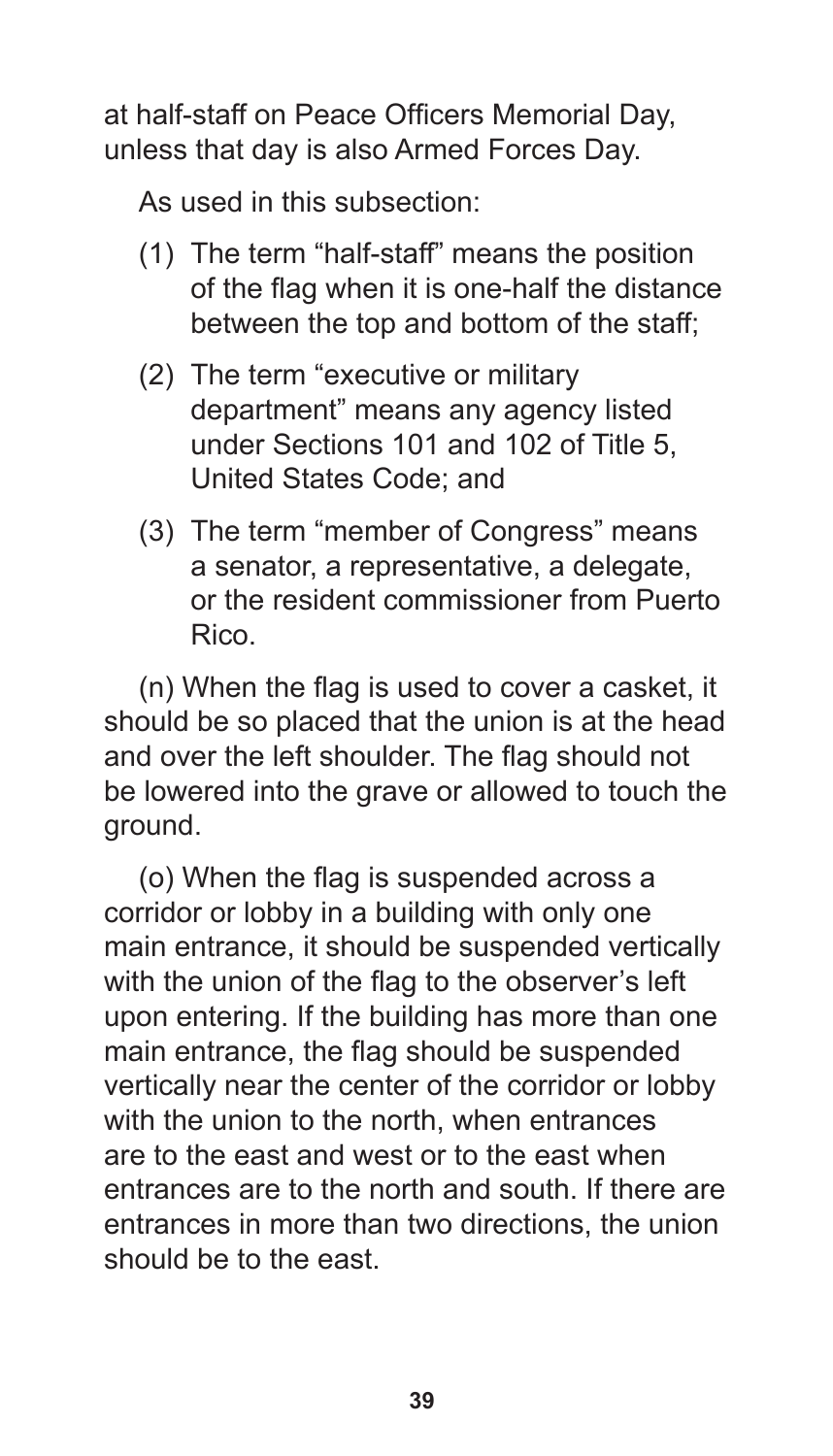at half-staff on Peace Officers Memorial Day, unless that day is also Armed Forces Day.

As used in this subsection:

- (1) The term "half-staff" means the position of the flag when it is one-half the distance between the top and bottom of the staff;
- (2) The term "executive or military department" means any agency listed under Sections 101 and 102 of Title 5, United States Code; and
- (3) The term "member of Congress" means a senator, a representative, a delegate, or the resident commissioner from Puerto Rico.

(n) When the flag is used to cover a casket, it should be so placed that the union is at the head and over the left shoulder. The flag should not be lowered into the grave or allowed to touch the ground.

(o) When the flag is suspended across a corridor or lobby in a building with only one main entrance, it should be suspended vertically with the union of the flag to the observer's left upon entering. If the building has more than one main entrance, the flag should be suspended vertically near the center of the corridor or lobby with the union to the north, when entrances are to the east and west or to the east when entrances are to the north and south. If there are entrances in more than two directions, the union should be to the east.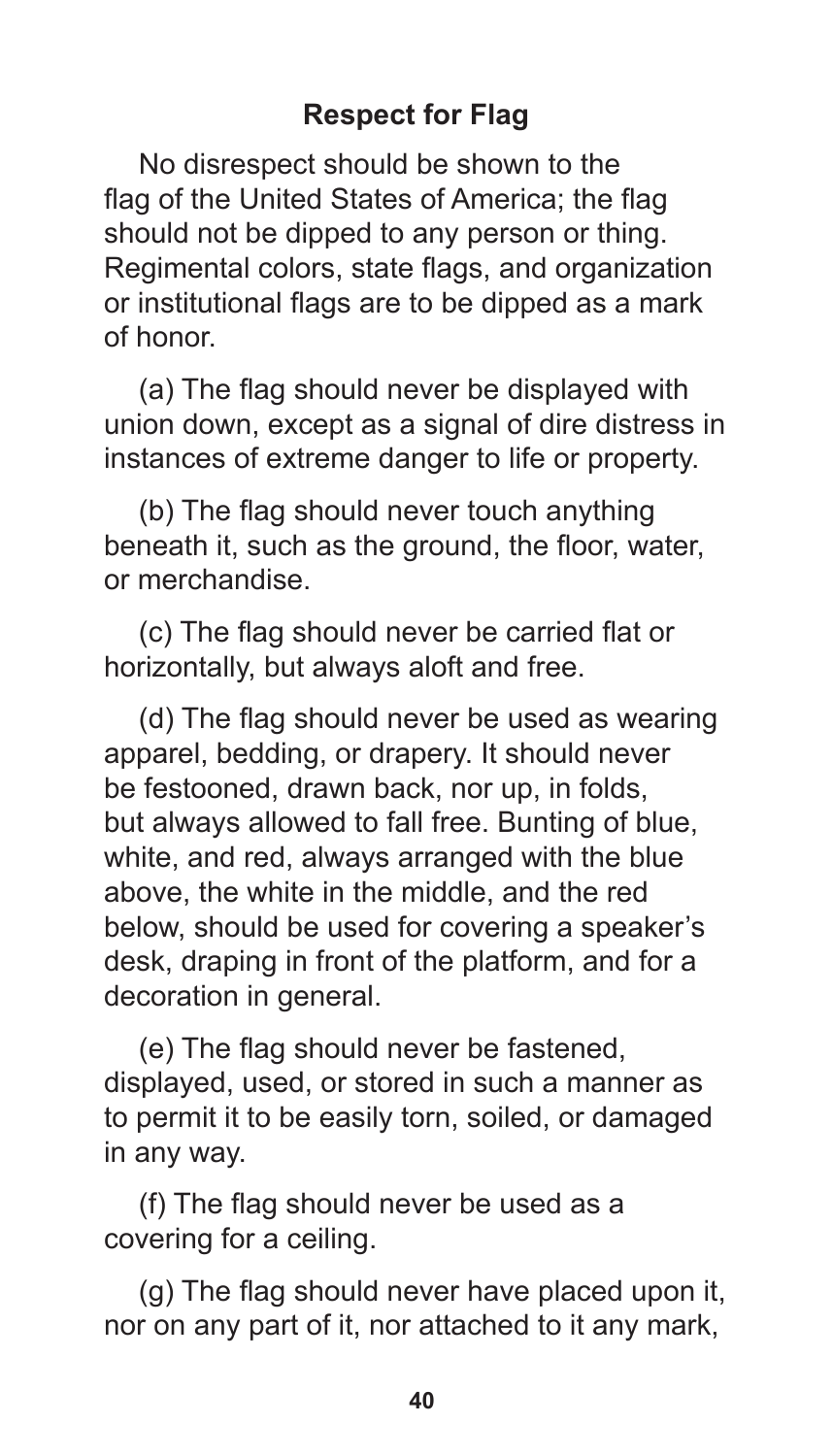# **Respect for Flag**

<span id="page-41-0"></span>No disrespect should be shown to the flag of the United States of America; the flag should not be dipped to any person or thing. Regimental colors, state flags, and organization or institutional flags are to be dipped as a mark of honor.

(a) The flag should never be displayed with union down, except as a signal of dire distress in instances of extreme danger to life or property.

(b) The flag should never touch anything beneath it, such as the ground, the floor, water, or merchandise.

(c) The flag should never be carried flat or horizontally, but always aloft and free.

(d) The flag should never be used as wearing apparel, bedding, or drapery. It should never be festooned, drawn back, nor up, in folds, but always allowed to fall free. Bunting of blue, white, and red, always arranged with the blue above, the white in the middle, and the red below, should be used for covering a speaker's desk, draping in front of the platform, and for a decoration in general.

(e) The flag should never be fastened, displayed, used, or stored in such a manner as to permit it to be easily torn, soiled, or damaged in any way.

(f) The flag should never be used as a covering for a ceiling.

(g) The flag should never have placed upon it, nor on any part of it, nor attached to it any mark,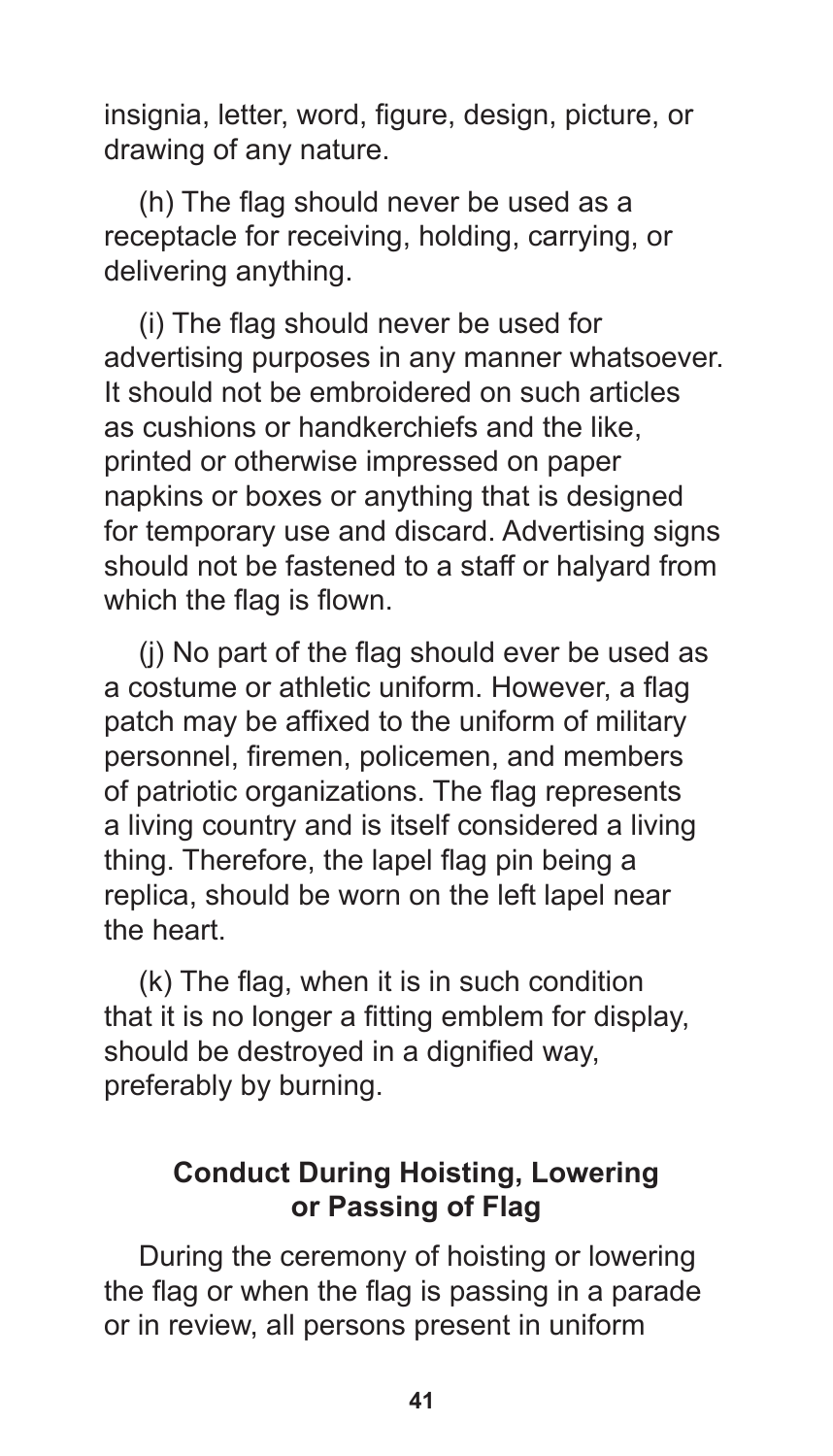<span id="page-42-0"></span>insignia, letter, word, figure, design, picture, or drawing of any nature.

(h) The flag should never be used as a receptacle for receiving, holding, carrying, or delivering anything.

(i) The flag should never be used for advertising purposes in any manner whatsoever. It should not be embroidered on such articles as cushions or handkerchiefs and the like, printed or otherwise impressed on paper napkins or boxes or anything that is designed for temporary use and discard. Advertising signs should not be fastened to a staff or halyard from which the flag is flown.

(j) No part of the flag should ever be used as a costume or athletic uniform. However, a flag patch may be affixed to the uniform of military personnel, firemen, policemen, and members of patriotic organizations. The flag represents a living country and is itself considered a living thing. Therefore, the lapel flag pin being a replica, should be worn on the left lapel near the heart.

(k) The flag, when it is in such condition that it is no longer a fitting emblem for display, should be destroyed in a dignified way, preferably by burning.

### **Conduct During Hoisting, Lowering or Passing of Flag**

During the ceremony of hoisting or lowering the flag or when the flag is passing in a parade or in review, all persons present in uniform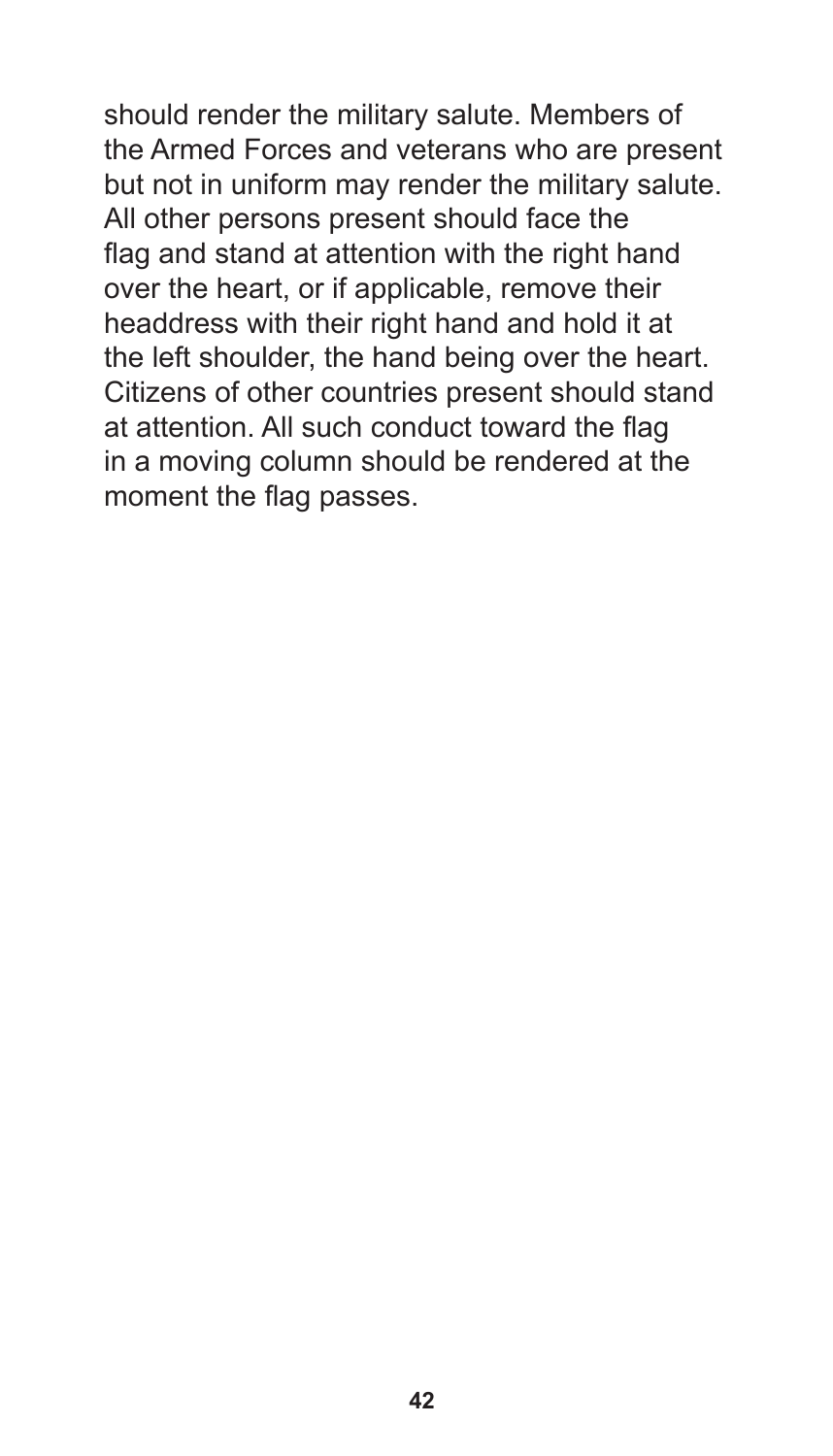should render the military salute. Members of the Armed Forces and veterans who are present but not in uniform may render the military salute. All other persons present should face the flag and stand at attention with the right hand over the heart, or if applicable, remove their headdress with their right hand and hold it at the left shoulder, the hand being over the heart. Citizens of other countries present should stand at attention. All such conduct toward the flag in a moving column should be rendered at the moment the flag passes.